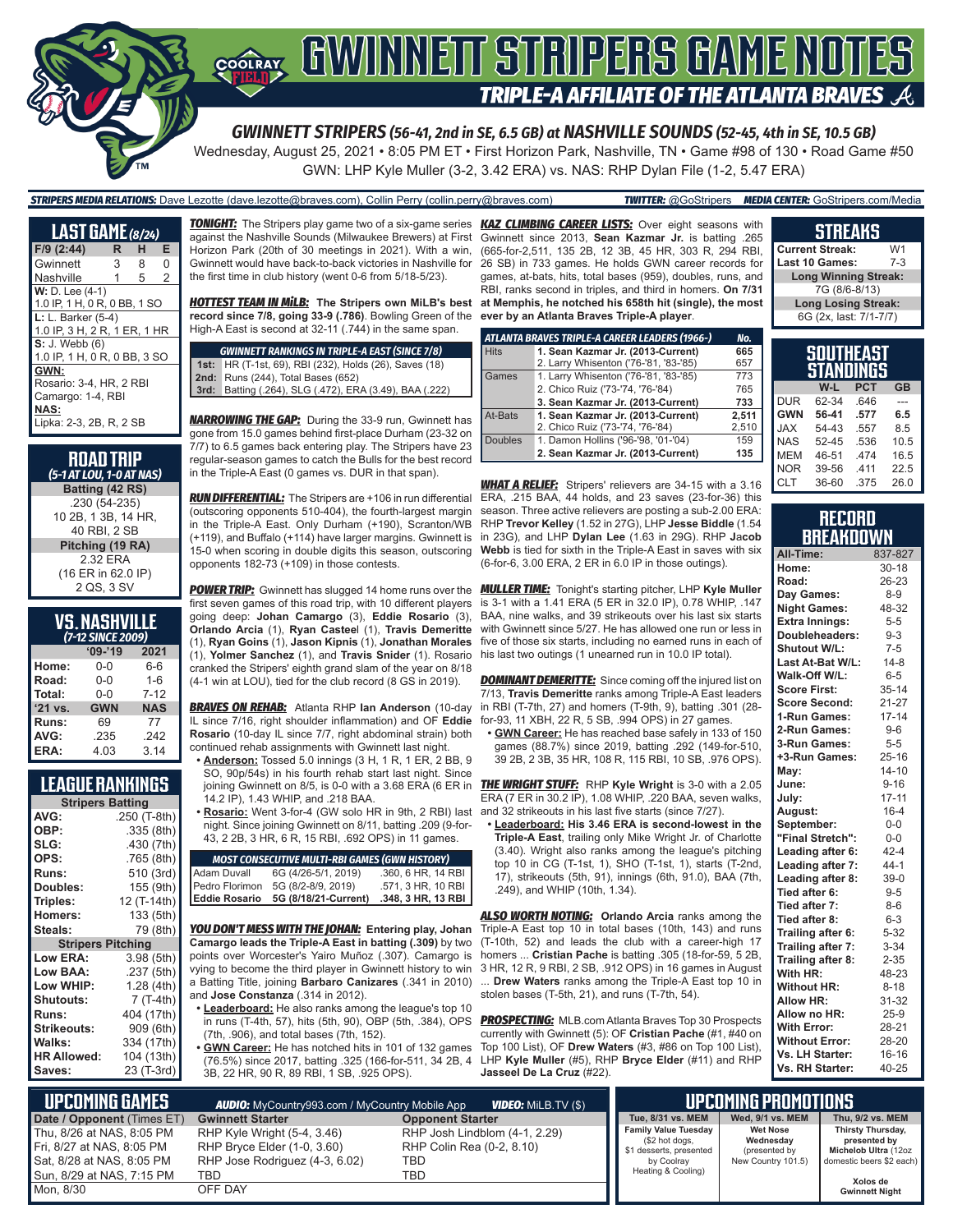

Wednesday, August 25, 2021 • 8:05 PM ET • First Horizon Park, Nashville, TN • Game #98 of 130 • Road Game #50 GWN: LHP Kyle Muller (3-2, 3.42 ERA) vs. NAS: RHP Dylan File (1-2, 5.47 ERA)

#### *STRIPERS MEDIA RELATIONS:* Dave Lezotte (dave.lezotte@braves.com), Collin Perry (collin.perry@braves.com) *TWITTER:* @GoStripers *MEDIA CENTER:* GoStripers.com/Media

| <b>LAST GAME</b> (8/24)      |   |   |                |  |
|------------------------------|---|---|----------------|--|
| F/9 (2:44)                   | R | н | Е              |  |
| Gwinnett                     | 3 | 8 | 0              |  |
| Nashville                    | 1 | 5 | $\overline{2}$ |  |
| $W: D. Lee (4-1)$            |   |   |                |  |
| 1.0 IP, 1 H, 0 R, 0 BB, 1 SO |   |   |                |  |
| $L: L.$ Barker (5-4)         |   |   |                |  |
| 1.0 IP, 3 H, 2 R, 1 ER, 1 HR |   |   |                |  |
| $S: J.$ Webb $(6)$           |   |   |                |  |
| 1.0 IP, 1 H, 0 R, 0 BB, 3 SO |   |   |                |  |
| GWN:                         |   |   |                |  |
| Rosario: 3-4, HR, 2 RBI      |   |   |                |  |
| Camargo: 1-4, RBI            |   |   |                |  |
| NAS:                         |   |   |                |  |
| Lipka: 2-3, 2B, R, 2 SB      |   |   |                |  |

| <b>ROAD TRIP</b><br>(5-1 AT LOU, 1-0 AT NAS) |
|----------------------------------------------|
| Batting (42 RS)                              |
| .230 (54-235)                                |
| 10 2B, 1 3B, 14 HR,                          |
| 40 RBI, 2 SB                                 |
| Pitching (19 RA)                             |
| 2.32 ERA                                     |
| (16 ER in 62.0 IP)                           |
| 2 QS, 3 SV                                   |

| <b>VS. NASHVILLE</b> |
|----------------------|
| (7-12 SINCE 2009)    |

| $09 - 19$  | 2021       |  |  |  |
|------------|------------|--|--|--|
| 0-0        | 6-6        |  |  |  |
| $0 - 0$    | $1 - 6$    |  |  |  |
| $0 - 0$    | $7 - 12$   |  |  |  |
| <b>GWN</b> | <b>NAS</b> |  |  |  |
| 69         | 77         |  |  |  |
| .235       | .242       |  |  |  |
| 4.03       | 3.14       |  |  |  |
|            |            |  |  |  |

### **LEAGUE RANKINGS**

| <b>Stripers Batting</b>  |              |  |  |
|--------------------------|--------------|--|--|
| AVG:                     | .250 (T-8th) |  |  |
| OBP:                     | .335 (8th)   |  |  |
| SLG:                     | .430 (7th)   |  |  |
| OPS:                     | .765 (8th)   |  |  |
| <b>Runs:</b>             | 510 (3rd)    |  |  |
| Doubles:                 | 155 (9th)    |  |  |
| Triples:                 | 12 (T-14th)  |  |  |
| <b>Homers:</b>           | 133 (5th)    |  |  |
| Steals:                  | 79 (8th)     |  |  |
| <b>Stripers Pitching</b> |              |  |  |
| <b>Low ERA:</b>          | 3.98 (5th)   |  |  |
| Low BAA:                 | .237 (5th)   |  |  |
| Low WHIP:                | 1.28 (4th)   |  |  |
| <b>Shutouts:</b>         | 7 (T-4th)    |  |  |
| <b>Runs:</b>             | 404 (17th)   |  |  |
| Strikeouts:              | 909 (6th)    |  |  |
| Walks:                   | 334 (17th)   |  |  |
| <b>HR Allowed:</b>       | 104 (13th)   |  |  |
| Saves:                   | 23 (T-3rd)   |  |  |
|                          |              |  |  |

against the Nashville Sounds (Milwaukee Brewers) at First Horizon Park (20th of 30 meetings in 2021). With a win, Gwinnett would have back-to-back victories in Nashville for the first time in club history (went 0-6 from 5/18-5/23).

*HOTTEST TEAM IN MiLB:* **The Stripers own MiLB's best at Memphis, he notched his 658th hit (single), the most record since 7/8, going 33-9 (.786)**. Bowling Green of the High-A East is second at 32-11 (.744) in the same span.

*GWINNETT RANKINGS IN TRIPLE-A EAST (SINCE 7/8)* **1st:** HR (T-1st, 69), RBI (232), Holds (26), Saves (18) **2nd:** Runs (244), Total Bases (652) **3rd:** Batting (.264), SLG (.472), ERA (3.49), BAA (.222)

**NARROWING THE GAP:** During the 33-9 run, Gwinnett has gone from 15.0 games behind first-place Durham (23-32 on 7/7) to 6.5 games back entering play. The Stripers have 23 regular-season games to catch the Bulls for the best record in the Triple-A East (0 games vs. DUR in that span).

*RUN DIFFERENTIAL:* The Stripers are +106 in run differential (outscoring opponents 510-404), the fourth-largest margin in the Triple-A East. Only Durham (+190), Scranton/WB (+119), and Buffalo (+114) have larger margins. Gwinnett is 15-0 when scoring in double digits this season, outscoring opponents 182-73 (+109) in those contests.

first seven games of this road trip, with 10 different players going deep: **Johan Camargo** (3), **Eddie Rosario** (3), **Orlando Arcia** (1), **Ryan Castee**l (1), **Travis Demeritte** (1), **Ryan Goins** (1), **Jason Kipnis** (1), **Jonathan Morales** (1), **Yolmer Sanchez** (1), and **Travis Snider** (1). Rosario his last two outings (1 unearned run in 10.0 IP total). cranked the Stripers' eighth grand slam of the year on 8/18 (4-1 win at LOU), tied for the club record (8 GS in 2019).

*BRAVES ON REHAB:* Atlanta RHP **Ian Anderson** (10-day IL since 7/16, right shoulder inflammation) and OF **Eddie Rosario** (10-day IL since 7/7, right abdominal strain) both continued rehab assignments with Gwinnett last night.

**• Anderson:** Tossed 5.0 innings (3 H, 1 R, 1 ER, 2 BB, 9 SO, 90p/54s) in his fourth rehab start last night. Since 14.2 IP), 1.43 WHIP, and .218 BAA.

**• Rosario:** Went 3-for-4 (GW solo HR in 9th, 2 RBI) last night. Since joining Gwinnett on 8/11, batting .209 (9-for-43, 2 2B, 3 HR, 6 R, 15 RBI, .692 OPS) in 11 games.

|                | <b>MOST CONSECUTIVE MULTI-RBI GAMES (GWN HISTORY)</b> |                    |
|----------------|-------------------------------------------------------|--------------------|
| Adam Duvall    | 6G (4/26-5/1, 2019)                                   | .360, 6 HR, 14 RBI |
| Pedro Florimon | 5G (8/2-8/9, 2019)                                    | .571, 3 HR, 10 RBI |
| Eddie Rosario  | 5G (8/18/21-Current)                                  | .348, 3 HR, 13 RBI |

*YOU DON'T MESS WITH THE JOHAN:* **Entering play, Johan Camargo leads the Triple-A East in batting (.309)** by two points over Worcester's Yairo Muñoz (.307). Camargo is vying to become the third player in Gwinnett history to win a Batting Title, joining **Barbaro Canizares** (.341 in 2010) and **Jose Constanza** (.314 in 2012).

- **• Leaderboard:** He also ranks among the league's top 10 in runs (T-4th, 57), hits (5th, 90), OBP (5th, .384), OPS (7th, .906), and total bases (7th, 152).
- **• GWN Career:** He has notched hits in 101 of 132 games (76.5%) since 2017, batting .325 (166-for-511, 34 2B, 4 3B, 22 HR, 90 R, 89 RBI, 1 SB, .925 OPS).

*TONIGHT:* The Stripers play game two of a six-game series *KAZ CLIMBING CAREER LISTS:* Over eight seasons with Gwinnett since 2013, **Sean Kazmar Jr.** is batting .265 (665-for-2,511, 135 2B, 12 3B, 45 HR, 303 R, 294 RBI, 26 SB) in 733 games. He holds GWN career records for games, at-bats, hits, total bases (959), doubles, runs, and RBI, ranks second in triples, and third in homers. **On 7/31 ever by an Atlanta Braves Triple-A player**.

|                | ATLANTA BRAVES TRIPLE-A CAREER LEADERS (1966-) | No.   |
|----------------|------------------------------------------------|-------|
| <b>Hits</b>    | 1. Sean Kazmar Jr. (2013-Current)              | 665   |
|                | 2. Larry Whisenton ('76-'81, '83-'85)          | 657   |
| Games          | 1. Larry Whisenton ('76-'81, '83-'85)          | 773   |
|                | 2. Chico Ruiz ('73-'74, '76-'84)               | 765   |
|                | 3. Sean Kazmar Jr. (2013-Current)              | 733   |
| At-Bats        | 1. Sean Kazmar Jr. (2013-Current)              | 2.511 |
|                | 2. Chico Ruiz ('73-'74, '76-'84)               | 2,510 |
| <b>Doubles</b> | 1. Damon Hollins ('96-'98, '01-'04)            | 159   |
|                | 2. Sean Kazmar Jr. (2013-Current)              | 135   |

*WHAT A RELIEF:* Stripers' relievers are 34-15 with a 3.16 ERA, .215 BAA, 44 holds, and 23 saves (23-for-36) this season. Three active relievers are posting a sub-2.00 ERA: RHP **Trevor Kelley** (1.52 in 27G), LHP **Jesse Biddle** (1.54 in 23G), and LHP **Dylan Lee** (1.63 in 29G). RHP **J**a**cob Webb** is tied for sixth in the Triple-A East in saves with six (6-for-6, 3.00 ERA, 2 ER in 6.0 IP in those outings).

*POWER TRIP:* Gwinnett has slugged 14 home runs over the *MULLER TIME:* Tonight's starting pitcher, LHP **Kyle Muller** is 3-1 with a 1.41 ERA (5 ER in 32.0 IP), 0.78 WHIP, .147 BAA, nine walks, and 39 strikeouts over his last six starts with Gwinnett since 5/27. He has allowed one run or less in five of those six starts, including no earned runs in each of

> **DOMINANT DEMERITTE:** Since coming off the injured list on 7/13, **Travis Demeritte** ranks among Triple-A East leaders in RBI (T-7th, 27) and homers (T-9th, 9), batting .301 (28 for-93, 11 XBH, 22 R, 5 SB, .994 OPS) in 27 games.

**• GWN Career:** He has reached base safely in 133 of 150 games (88.7%) since 2019, batting .292 (149-for-510, 39 2B, 2 3B, 35 HR, 108 R, 115 RBI, 10 SB, .976 OPS).

joining Gwinnett on 8/5, is 0-0 with a 3.68 ERA (6 ER in *THE WRIGHT STUFF:* RHP **Kyle Wright** is 3-0 with a 2.05 ERA (7 ER in 30.2 IP), 1.08 WHIP, .220 BAA, seven walks, and 32 strikeouts in his last five starts (since 7/27).

> **• Leaderboard: His 3.46 ERA is second-lowest in the Triple-A East**, trailing only Mike Wright Jr. of Charlotte (3.40). Wright also ranks among the league's pitching top 10 in CG (T-1st, 1), SHO (T-1st, 1), starts (T-2nd, 17), strikeouts (5th, 91), innings (6th, 91.0), BAA (7th, .249), and WHIP (10th, 1.34).

**ALSO WORTH NOTING:** Orlando Arcia ranks among the Triple-A East top 10 in total bases (10th, 143) and runs (T-10th, 52) and leads the club with a career-high 17 homers ... **Cristian Pache** is batting .305 (18-for-59, 5 2B, 3 HR, 12 R, 9 RBI, 2 SB, .912 OPS) in 16 games in August ... **Drew Waters** ranks among the Triple-A East top 10 in stolen bases (T-5th, 21), and runs (T-7th, 54).

*PROSPECTING:* MLB.com Atlanta Braves Top 30 Prospects currently with Gwinnett (5): OF **Cristian Pache** (#1, #40 on Top 100 List), OF **Drew Waters** (#3, #86 on Top 100 List), LHP **Kyle Muller** (#5), RHP **Bryce Elder** (#11) and RHP **Jasseel De La Cruz** (#22).

#### **STREAKS Current Streak:** W1<br>Last 10 Games: 7-3 **Last 10 Games: Long Winning Streak:** 7G (8/6-8/13) **Long Losing Streak:** 6G (2x, last: 7/1-7/7)

| SOUTHEAST<br>STANDINGS |       |            |      |  |
|------------------------|-------|------------|------|--|
|                        | W-L   | <b>PCT</b> | GB   |  |
| <b>DUR</b>             | 62-34 | .646       |      |  |
| <b>GWN</b>             | 56-41 | .577       | 6.5  |  |
| <b>JAX</b>             | 54-43 | .557       | 8.5  |  |
| <b>NAS</b>             | 52-45 | .536       | 10.5 |  |
| <b>MEM</b>             | 46-51 | 474        | 16.5 |  |
| <b>NOR</b>             | 39-56 | 411        | 22.5 |  |
| <b>CLT</b>             | 36-60 | .375       | 26.0 |  |

#### **RECORD BREAKDOWN**

| All-Time:             | 837-827   |
|-----------------------|-----------|
| Home:                 | $30 - 18$ |
| Road:                 | 26-23     |
| Day Games:            | $8 - 9$   |
| <b>Night Games:</b>   | 48-32     |
| <b>Extra Innings:</b> | $5 - 5$   |
| Doubleheaders:        | $9 - 3$   |
| Shutout W/L:          | $7-5$     |
| Last At-Bat W/L:      | $14 - 8$  |
| Walk-Off W/L:         | $6-5$     |
| <b>Score First:</b>   | $35 - 14$ |
| <b>Score Second:</b>  | $21 - 27$ |
| 1-Run Games:          | $17 - 14$ |
| 2-Run Games:          | $9-6$     |
| 3-Run Games:          | $5 - 5$   |
| +3-Run Games:         | $25 - 16$ |
| May:                  | $14 - 10$ |
| June:                 | $9 - 16$  |
| July:                 | $17 - 11$ |
| August:               | $16 - 4$  |
| September:            | $0-0$     |
| "Final Stretch":      | $0-0$     |
| Leading after 6:      | $42 - 4$  |
| Leading after 7:      | $44 - 1$  |
| Leading after 8:      | $39-0$    |
| Tied after 6:         | $9 - 5$   |
| Tied after 7:         | $8-6$     |
| Tied after 8:         | $6 - 3$   |
| Trailing after 6:     | $5 - 32$  |
| Trailing after 7:     | $3 - 34$  |
| Trailing after 8:     | $2 - 35$  |
| With HR:              | 48-23     |
| <b>Without HR:</b>    | $8 - 18$  |
| <b>Allow HR:</b>      | 31-32     |
| Allow no HR:          | $25-9$    |
| <b>With Error:</b>    | 28-21     |
| <b>Without Error:</b> | 28-20     |
| Vs. LH Starter:       | 16-16     |
| Vs. RH Starter:       | 40-25     |

| LUPCOMING GAMES I<br><b>VIDEO:</b> Milb.TV (\$)<br><b>AUDIO:</b> MyCountry993.com / MyCountry Mobile App           |                                                                                                     |                                                                          | UPCOMING PROMOTIONS '                                                                                        |                                                                     |                                                                                       |
|--------------------------------------------------------------------------------------------------------------------|-----------------------------------------------------------------------------------------------------|--------------------------------------------------------------------------|--------------------------------------------------------------------------------------------------------------|---------------------------------------------------------------------|---------------------------------------------------------------------------------------|
| Date / Opponent (Times ET)                                                                                         | <b>Gwinnett Starter</b>                                                                             | <b>Opponent Starter</b>                                                  | Tue, 8/31 vs. MEM                                                                                            | Wed, 9/1 vs. MEM                                                    | Thu, 9/2 vs. MEM                                                                      |
| Thu, 8/26 at NAS, 8:05 PM<br>Fri, 8/27 at NAS, 8:05 PM<br>Sat, 8/28 at NAS, 8:05 PM<br>l Sun. 8/29 at NAS. 7:15 PM | RHP Kyle Wright (5-4, 3.46)<br>RHP Bryce Elder (1-0, 3.60)<br>RHP Jose Rodriguez (4-3, 6.02)<br>TBD | RHP Josh Lindblom (4-1, 2.29)<br>RHP Colin Rea (0-2, 8.10)<br>TBD<br>TBD | <b>Family Value Tuesday</b><br>(\$2 hot dogs,<br>\$1 desserts, presented<br>by Coolray<br>Heating & Cooling) | <b>Wet Nose</b><br>Wednesdav<br>(presented by<br>New Country 101.5) | Thirsty Thursday,<br>presented by<br>Michelob Ultra (12oz<br>domestic beers \$2 each) |
| Mon. 8/30                                                                                                          | OFF DAY                                                                                             |                                                                          |                                                                                                              |                                                                     | Xolos de<br><b>Gwinnett Night</b>                                                     |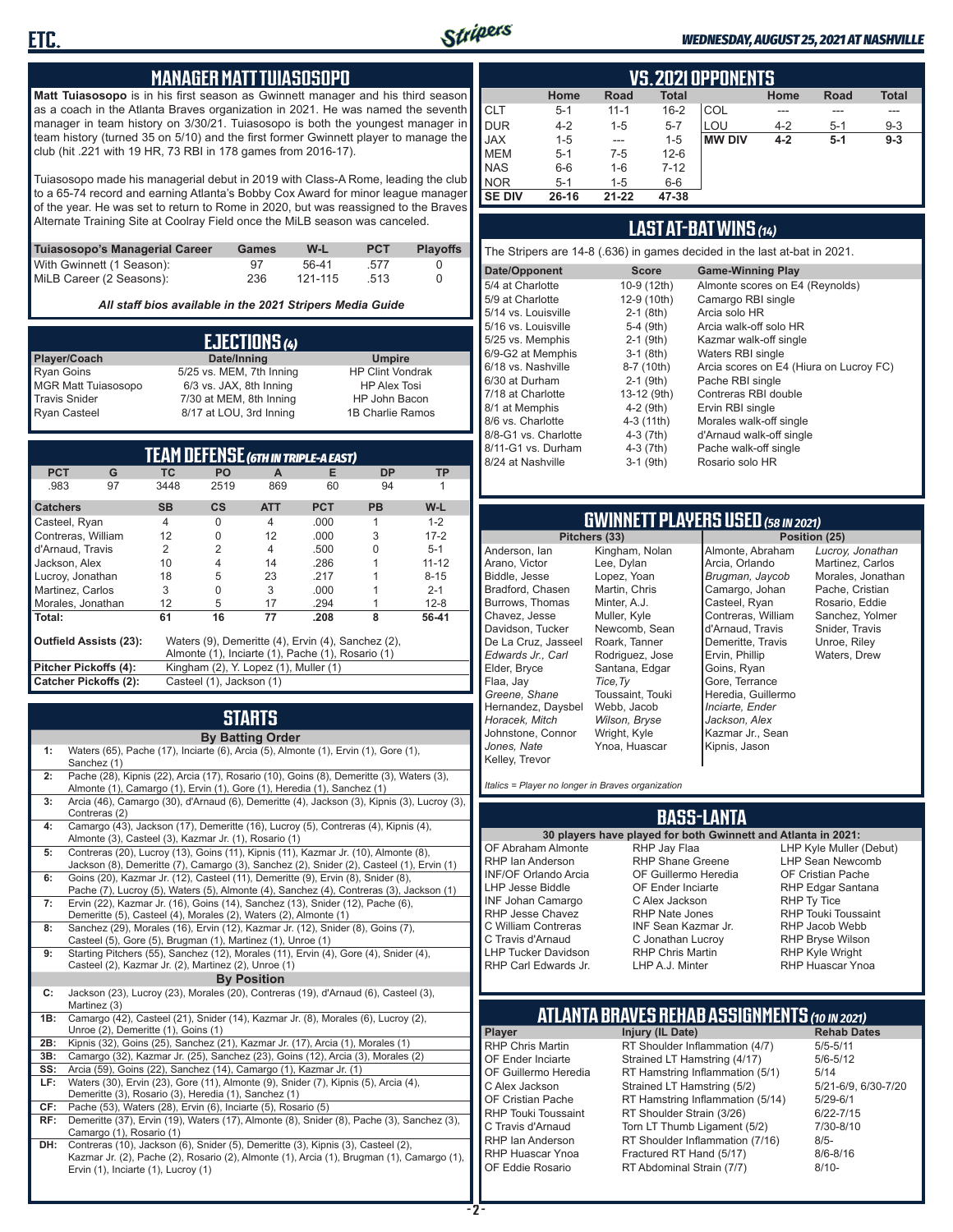

#### *WEDNESDAY, AUGUST 25, 2021 AT NASHVILLE*

### **MANAGER MATT TUIASOSOPO**

**Matt Tuiasosopo** is in his first season as Gwinnett manager and his third season as a coach in the Atlanta Braves organization in 2021. He was named the seventh manager in team history on 3/30/21. Tuiasosopo is both the youngest manager in team history (turned 35 on 5/10) and the first former Gwinnett player to manage the club (hit .221 with 19 HR, 73 RBI in 178 games from 2016-17).

Tuiasosopo made his managerial debut in 2019 with Class-A Rome, leading the club to a 65-74 record and earning Atlanta's Bobby Cox Award for minor league manager of the year. He was set to return to Rome in 2020, but was reassigned to the Braves Alternate Training Site at Coolray Field once the MiLB season was canceled.

| Tuiasosopo's Managerial Career | Games | W-L     | <b>PCT</b> | <b>Plavoffs</b> |
|--------------------------------|-------|---------|------------|-----------------|
| With Gwinnett (1 Season):      | 97    | 56-41   | .577       |                 |
| MiLB Career (2 Seasons):       | 236   | 121-115 | 513        |                 |

*All staff bios available in the 2021 Stripers Media Guide*

| EJECTIONS (4)              |                          |                         |  |  |
|----------------------------|--------------------------|-------------------------|--|--|
| Player/Coach               | Date/Inning              | <b>Umpire</b>           |  |  |
| <b>Ryan Goins</b>          | 5/25 vs. MEM, 7th Inning | <b>HP Clint Vondrak</b> |  |  |
| <b>MGR Matt Tuiasosopo</b> | 6/3 vs. JAX, 8th Inning  | <b>HP Alex Tosi</b>     |  |  |
| <b>Travis Snider</b>       | 7/30 at MEM, 8th Inning  | HP John Bacon           |  |  |
| <b>Ryan Casteel</b>        | 8/17 at LOU, 3rd Inning  | 1B Charlie Ramos        |  |  |

|                        |    |                |                                       |                | <b>TEAM DEFENSE (GTH IN TRIPLE-A EAST)</b>         |           |           |
|------------------------|----|----------------|---------------------------------------|----------------|----------------------------------------------------|-----------|-----------|
| <b>PCT</b>             | G  | ТC             | <b>PO</b>                             | A              | Е                                                  | <b>DP</b> | <b>TP</b> |
| .983                   | 97 | 3448           | 2519                                  | 869            | 60                                                 | 94        |           |
| <b>Catchers</b>        |    | <b>SB</b>      | <b>CS</b>                             | <b>ATT</b>     | <b>PCT</b>                                         | <b>PB</b> | W-L       |
| Casteel, Ryan          |    | $\overline{4}$ | <sup>0</sup>                          | $\overline{4}$ | .000.                                              |           | $1 - 2$   |
| Contreras, William     |    | 12             | O                                     | 12             | .000                                               | 3         | $17 - 2$  |
| d'Arnaud, Travis       |    | $\mathfrak{p}$ | $\mathfrak{p}$                        | 4              | .500                                               |           | $5 - 1$   |
| Jackson, Alex          |    | 10             | 4                                     | 14             | .286                                               |           | $11 - 12$ |
| Lucroy, Jonathan       |    | 18             | 5                                     | 23             | .217                                               |           | $8 - 15$  |
| Martinez, Carlos       |    | 3              | $\Omega$                              | 3              | .000.                                              |           | $2 - 1$   |
| Morales, Jonathan      |    | 12             | 5                                     | 17             | .294                                               |           | $12 - 8$  |
| l Total:               |    | 61             | 16                                    | 77             | .208                                               | 8         | 56-41     |
| Outfield Assists (23): |    |                |                                       |                | Waters (9), Demeritte (4), Ervin (4), Sanchez (2), |           |           |
|                        |    |                |                                       |                | Almonte (1), Inciarte (1), Pache (1), Rosario (1)  |           |           |
| Pitcher Pickoffs (4):  |    |                | Kingham (2), Y. Lopez (1), Muller (1) |                |                                                    |           |           |
| Catcher Pickoffs (2):  |    |                | Casteel (1), Jackson (1)              |                |                                                    |           |           |

## **STARTS**

|     | <b>By Batting Order</b>                                                                                                                                                                                              |
|-----|----------------------------------------------------------------------------------------------------------------------------------------------------------------------------------------------------------------------|
| 1:  | Waters (65), Pache (17), Inciarte (6), Arcia (5), Almonte (1), Ervin (1), Gore (1),<br>Sanchez (1)                                                                                                                   |
| 2:  | Pache (28), Kipnis (22), Arcia (17), Rosario (10), Goins (8), Demeritte (3), Waters (3),<br>Almonte (1), Camargo (1), Ervin (1), Gore (1), Heredia (1), Sanchez (1)                                                  |
| 3:  | Arcia (46), Camargo (30), d'Arnaud (6), Demeritte (4), Jackson (3), Kipnis (3), Lucroy (3),<br>Contreras (2)                                                                                                         |
| 4:  | Camargo (43), Jackson (17), Demeritte (16), Lucroy (5), Contreras (4), Kipnis (4),<br>Almonte (3), Casteel (3), Kazmar Jr. (1), Rosario (1)                                                                          |
| 5:  | Contreras (20), Lucroy (13), Goins (11), Kipnis (11), Kazmar Jr. (10), Almonte (8),<br>Jackson (8), Demeritte (7), Camargo (3), Sanchez (2), Snider (2), Casteel (1), Ervin (1)                                      |
| 6:  | Goins (20), Kazmar Jr. (12), Casteel (11), Demeritte (9), Ervin (8), Snider (8),<br>Pache (7), Lucroy (5), Waters (5), Almonte (4), Sanchez (4), Contreras (3), Jackson (1)                                          |
| 7:  | Ervin (22), Kazmar Jr. (16), Goins (14), Sanchez (13), Snider (12), Pache (6),<br>Demeritte (5), Casteel (4), Morales (2), Waters (2), Almonte (1)                                                                   |
| 8:  | Sanchez (29), Morales (16), Ervin (12), Kazmar Jr. (12), Snider (8), Goins (7),<br>Casteel (5), Gore (5), Brugman (1), Martinez (1), Unroe (1)                                                                       |
| 9:  | Starting Pitchers (55), Sanchez (12), Morales (11), Ervin (4), Gore (4), Snider (4),<br>Casteel (2), Kazmar Jr. (2), Martinez (2), Unroe (1)                                                                         |
|     | <b>By Position</b>                                                                                                                                                                                                   |
| C:  | Jackson (23), Lucroy (23), Morales (20), Contreras (19), d'Arnaud (6), Casteel (3),<br>Martinez (3)                                                                                                                  |
| 1B: | Camargo (42), Casteel (21), Snider (14), Kazmar Jr. (8), Morales (6), Lucroy (2),<br>Unroe (2), Demeritte (1), Goins (1)                                                                                             |
| 2B: | Kipnis (32), Goins (25), Sanchez (21), Kazmar Jr. (17), Arcia (1), Morales (1)                                                                                                                                       |
| 3B: | Camargo (32), Kazmar Jr. (25), Sanchez (23), Goins (12), Arcia (3), Morales (2)                                                                                                                                      |
| SS: | Arcia (59), Goins (22), Sanchez (14), Camargo (1), Kazmar Jr. (1)                                                                                                                                                    |
| LF: | Waters (30), Ervin (23), Gore (11), Almonte (9), Snider (7), Kipnis (5), Arcia (4),<br>Demeritte (3), Rosario (3), Heredia (1), Sanchez (1)                                                                          |
| CF: | Pache (53), Waters (28), Ervin (6), Inciarte (5), Rosario (5)                                                                                                                                                        |
| RF: | Demeritte (37), Ervin (19), Waters (17), Almonte (8), Snider (8), Pache (3), Sanchez (3),<br>Camargo (1), Rosario (1)                                                                                                |
| DH: | Contreras (10), Jackson (6), Snider (5), Demeritte (3), Kipnis (3), Casteel (2),<br>Kazmar Jr. (2), Pache (2), Rosario (2), Almonte (1), Arcia (1), Brugman (1), Camargo (1),<br>Ervin (1), Inciarte (1), Lucroy (1) |

|               | VS. 2021 OPPONENTS |             |              |               |         |             |              |  |  |  |  |  |  |  |
|---------------|--------------------|-------------|--------------|---------------|---------|-------------|--------------|--|--|--|--|--|--|--|
|               | Home               | <b>Road</b> | <b>Total</b> |               | Home    | <b>Road</b> | <b>Total</b> |  |  |  |  |  |  |  |
| <b>CLT</b>    | $5 - 1$            | $11 - 1$    | $16 - 2$     | COL           |         |             |              |  |  |  |  |  |  |  |
| <b>DUR</b>    | $4 - 2$            | $1 - 5$     | $5 - 7$      | LOU           | $4 - 2$ | $5 - 1$     | $9 - 3$      |  |  |  |  |  |  |  |
| <b>JAX</b>    | $1 - 5$            | $- - -$     | $1 - 5$      | <b>MW DIV</b> | $4 - 2$ | $5-1$       | $9 - 3$      |  |  |  |  |  |  |  |
| <b>MEM</b>    | $5 - 1$            | $7-5$       | $12-6$       |               |         |             |              |  |  |  |  |  |  |  |
| <b>NAS</b>    | $6-6$              | $1 - 6$     | $7 - 12$     |               |         |             |              |  |  |  |  |  |  |  |
| <b>NOR</b>    | $5 - 1$            | $1 - 5$     | $6-6$        |               |         |             |              |  |  |  |  |  |  |  |
| <b>SE DIV</b> | 26-16              | $21 - 22$   | 47-38        |               |         |             |              |  |  |  |  |  |  |  |

### **LAST AT-BAT WINS** *(14)*

The Stripers are 14-8 (.636) in games decided in the last at-bat in 2021.

| Date/Opponent        | <b>Score</b> | <b>Game-Winning Play</b>                |
|----------------------|--------------|-----------------------------------------|
| 5/4 at Charlotte     | 10-9 (12th)  | Almonte scores on E4 (Reynolds)         |
| 5/9 at Charlotte     | 12-9 (10th)  | Camargo RBI single                      |
| 5/14 vs. Louisville  | $2-1$ (8th)  | Arcia solo HR                           |
| 5/16 vs. Louisville  | $5-4$ (9th)  | Arcia walk-off solo HR                  |
| 5/25 vs. Memphis     | $2-1$ (9th)  | Kazmar walk-off single                  |
| 6/9-G2 at Memphis    | $3-1$ (8th)  | Waters RBI single                       |
| 6/18 vs. Nashville   | 8-7 (10th)   | Arcia scores on E4 (Hiura on Lucroy FC) |
| 6/30 at Durham       | $2-1$ (9th)  | Pache RBI single                        |
| 7/18 at Charlotte    | 13-12 (9th)  | Contreras RBI double                    |
| 8/1 at Memphis       | $4-2$ (9th)  | Ervin RBI single                        |
| 8/6 vs. Charlotte    | 4-3 (11th)   | Morales walk-off single                 |
| 8/8-G1 vs. Charlotte | $4-3(7th)$   | d'Arnaud walk-off single                |
| 8/11-G1 vs. Durham   | $4-3(7th)$   | Pache walk-off single                   |
| 8/24 at Nashville    | $3-1$ (9th)  | Rosario solo HR                         |
|                      |              |                                         |

## **GWINNETT PLAYERS USED** *(58 IN 2021)*

**Pitchers (33)** Anderson, Ian Arano, Victor Biddle, Jesse Bradford, Chasen Burrows, Thomas Chavez, Jesse Davidson, Tucker De La Cruz, Jasseel *Edwards Jr., Carl* Elder, Bryce Flaa, Jay *Greene, Shane*  Hernandez, Daysbel *Horacek, Mitch* Johnstone, Connor *Jones, Nate* Kelley, Trevor Kingham, Nolan Lee, Dylan Lopez, Yoan Martin, Chris Minter, A.J. Muller, Kyle Newcomb, Sean Roark, Tanner Rodriguez, Jose Santana, Edgar *Tice,Ty* Toussaint, Touki Webb, Jacob *Wilson, Bryse* Wright, Kyle Ynoa, Huascar

Almonte, Abraham Arcia, Orlando *Brugman, Jaycob* Camargo, Johan Casteel, Ryan Contreras, William d'Arnaud, Travis Demeritte, Travis Ervin, Phillip Goins, Ryan Gore, Terrance Heredia, Guillermo *Inciarte, Ender Jackson, Alex* Kazmar Jr., Sean Kipnis, Jason

*Lucroy, Jonathan* Martinez, Carlos Morales, Jonathan Pache, Cristian Rosario, Eddie Sanchez, Yolmer Snider, Travis Unroe, Riley Waters, Drew

*Italics = Player no longer in Braves organization*

### **BASS-LANTA**

OF Abraham Almonte RHP Ian Anderson INF/OF Orlando Arcia LHP Jesse Biddle INF Johan Camargo RHP Jesse Chavez C William Contreras C Travis d'Arnaud LHP Tucker Davidson RHP Carl Edwards Jr.

RHP Jay Flaa RHP Shane Greene OF Guillermo Heredia OF Ender Inciarte C Alex Jackson RHP Nate Jones INF Sean Kazmar Jr. C Jonathan Lucroy RHP Chris Martin LHP A.J. Minter

**30 players have played for both Gwinnett and Atlanta in 2021:** LHP Kyle Muller (Debut) LHP Sean Newcomb OF Cristian Pache RHP Edgar Santana RHP Ty Tice RHP Touki Toussaint RHP Jacob Webb RHP Bryse Wilson RHP Kyle Wright RHP Huascar Ynoa

## **ATLANTA BRAVES REHAB ASSIGNMENTS** *(10 IN 2021)*

**Player Injury (IL Date)** RHP Huascar Ynoa Fractured RT Hand (5/17)<br>OF Eddie Rosario RT Abdominal Strain (7/7)

RHP Chris Martin RT Shoulder Inflammation (4/7) 5/5-5/11<br>OF Ender Inciarte Strained LT Hamstring (4/17) 5/6-5/12 OF Ender Inciarte Strained LT Hamstring (4/17)<br>OF Guillermo Heredia RT Hamstring Inflammation (5) RT Hamstring Inflammation  $(5/1)$  5/14 C Alex Jackson Strained LT Hamstring (5/2) 5/21-6/9, 6/30-7/20 OF Cristian Pache RT Hamstring Inflammation (5/14) 5/29-6/1<br>RHP Touki Toussaint RT Shoulder Strain (3/26) 6/22-7/15 RHP Touki Toussaint RT Shoulder Strain (3/26) 6/22-7/15<br>C. Travis d'Arnaud C. Torn LT Thumb Ligament (5/2) 6/10-8/10 Torn LT Thumb Ligament (5/2) RHP Ian Anderson RT Shoulder Inflammation (7/16) 8/5-<br>RHP Huascar Ynoa Fractured RT Hand (5/17) 8/6-8/16 RT Abdominal Strain (7/7) 8/10-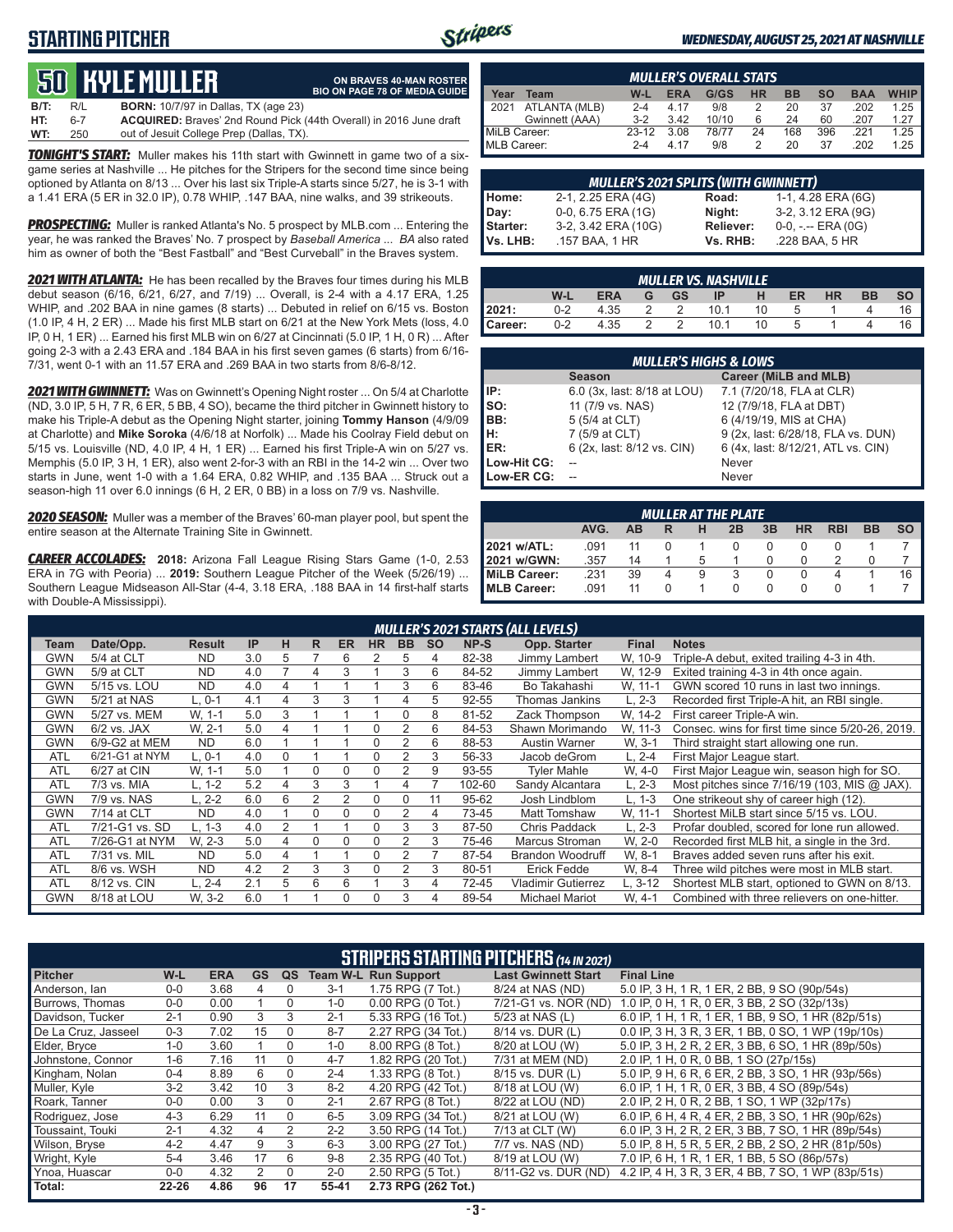### **STARTING PITCHER**



**ON BRAVES 40-MAN ROSTER BIO ON PAGE 78 OF MEDIA GUIDE**

#### *WEDNESDAY, AUGUST 25, 2021 AT NASHVILLE*

# **50****KYLE MULLER**

**B/T:** R/L **BORN:** 10/7/97 in Dallas, TX (age 23) **HT:** 6-7 **ACQUIRED:** Braves' 2nd Round Pick (44th Overall) in 2016 June draft out of Jesuit College Prep (Dallas, TX)

*TONIGHT'S START:* Muller makes his 11th start with Gwinnett in game two of a sixgame series at Nashville ... He pitches for the Stripers for the second time since being optioned by Atlanta on 8/13 ... Over his last six Triple-A starts since 5/27, he is 3-1 with a 1.41 ERA (5 ER in 32.0 IP), 0.78 WHIP, .147 BAA, nine walks, and 39 strikeouts.

*PROSPECTING:* Muller is ranked Atlanta's No. 5 prospect by MLB.com ... Entering the year, he was ranked the Braves' No. 7 prospect by *Baseball America* ... *BA* also rated him as owner of both the "Best Fastball" and "Best Curveball" in the Braves system.

*2021 WITH ATLANTA:* He has been recalled by the Braves four times during his MLB debut season (6/16, 6/21, 6/27, and 7/19) ... Overall, is 2-4 with a 4.17 ERA, 1.25 WHIP, and .202 BAA in nine games (8 starts) ... Debuted in relief on 6/15 vs. Boston (1.0 IP, 4 H, 2 ER) ... Made his first MLB start on 6/21 at the New York Mets (loss, 4.0 IP, 0 H, 1 ER) ... Earned his first MLB win on 6/27 at Cincinnati (5.0 IP, 1 H, 0 R) ... After going 2-3 with a 2.43 ERA and .184 BAA in his first seven games (6 starts) from 6/16- 7/31, went 0-1 with an 11.57 ERA and .269 BAA in two starts from 8/6-8/12.

*2021 WITH GWINNETT:* Was on Gwinnett's Opening Night roster ... On 5/4 at Charlotte (ND, 3.0 IP, 5 H, 7 R, 6 ER, 5 BB, 4 SO), became the third pitcher in Gwinnett history to make his Triple-A debut as the Opening Night starter, joining **Tommy Hanson** (4/9/09 at Charlotte) and **Mike Soroka** (4/6/18 at Norfolk) ... Made his Coolray Field debut on 5/15 vs. Louisville (ND, 4.0 IP, 4 H, 1 ER) ... Earned his first Triple-A win on 5/27 vs. Memphis (5.0 IP, 3 H, 1 ER), also went 2-for-3 with an RBI in the 14-2 win ... Over two starts in June, went 1-0 with a 1.64 ERA, 0.82 WHIP, and .135 BAA ... Struck out a season-high 11 over 6.0 innings (6 H, 2 ER, 0 BB) in a loss on 7/9 vs. Nashville.

*2020 SEASON:* Muller was a member of the Braves' 60-man player pool, but spent the entire season at the Alternate Training Site in Gwinnett.

*CAREER ACCOLADES:* **2018:** Arizona Fall League Rising Stars Game (1-0, 2.53 ERA in 7G with Peoria) ... **2019:** Southern League Pitcher of the Week (5/26/19) ... Southern League Midseason All-Star (4-4, 3.18 ERA, .188 BAA in 14 first-half starts with Double-A Mississippi).

|              | <b>MULLER'S OVERALL STATS</b> |         |            |       |           |           |           |            |             |  |  |  |  |  |  |
|--------------|-------------------------------|---------|------------|-------|-----------|-----------|-----------|------------|-------------|--|--|--|--|--|--|
| Year         | Team                          | $W-L$   | <b>ERA</b> | G/GS  | <b>HR</b> | <b>BB</b> | <b>SO</b> | <b>BAA</b> | <b>WHIP</b> |  |  |  |  |  |  |
|              | 2021 ATLANTA (MLB)            | $2 - 4$ | 4 17       | 9/8   |           | 20        | 37        | .202       | 1.25        |  |  |  |  |  |  |
|              | Gwinnett (AAA)                | $3-2$   | 3.42       | 10/10 | 6         | 24        | 60        | .207       | 1.27        |  |  |  |  |  |  |
| MiLB Career: |                               | $23-12$ | 3.08       | 78/77 | 24        | 168       | 396       | 221        | 1.25        |  |  |  |  |  |  |
| MLB Career:  |                               | $2 - 4$ | 4 17       | 9/8   |           | 20        | 37        | .202       | 1.25        |  |  |  |  |  |  |

|                      | MULLER'S 2021 SPLITS (WITH GWINNETT)  |                       |                                         |  |  |  |  |  |  |  |  |  |
|----------------------|---------------------------------------|-----------------------|-----------------------------------------|--|--|--|--|--|--|--|--|--|
| Home:                | 2-1, 2.25 ERA (4G)                    | Road:                 | 1-1, 4.28 ERA (6G)                      |  |  |  |  |  |  |  |  |  |
| Day:                 | 0-0, 6.75 ERA (1G)                    | Night:                | 3-2, 3.12 ERA (9G)                      |  |  |  |  |  |  |  |  |  |
| Starter:<br>Vs. LHB: | 3-2, 3.42 ERA (10G)<br>.157 BAA, 1 HR | Reliever:<br>Vs. RHB: | $0-0, - -$ ERA $(0G)$<br>.228 BAA, 5 HR |  |  |  |  |  |  |  |  |  |

| <b>MULLER VS. NASHVILLE</b> |                                                                         |      |   |   |      |    |  |  |  |    |  |  |  |
|-----------------------------|-------------------------------------------------------------------------|------|---|---|------|----|--|--|--|----|--|--|--|
|                             | W-L<br><b>ERA</b><br>HR<br><b>BB</b><br><b>GS</b><br>ER<br>н<br>ΙP<br>G |      |   |   |      |    |  |  |  |    |  |  |  |
| 2021:                       | $0 - 2$                                                                 | 4.35 |   |   | 10.1 | 10 |  |  |  | 16 |  |  |  |
| Career:                     | $0 - 2$                                                                 | 4.35 | っ | ာ | 10.1 | 10 |  |  |  | ь  |  |  |  |

|             | <b>MULLER'S HIGHS &amp; LOWS</b> |                                    |  |  |  |  |  |  |  |  |  |  |
|-------------|----------------------------------|------------------------------------|--|--|--|--|--|--|--|--|--|--|
|             | <b>Season</b>                    | Career (MiLB and MLB)              |  |  |  |  |  |  |  |  |  |  |
| IP:         | 6.0 (3x, last: 8/18 at LOU)      | 7.1 (7/20/18, FLA at CLR)          |  |  |  |  |  |  |  |  |  |  |
| $\vert$ so: | 11 (7/9 vs. NAS)                 | 12 (7/9/18, FLA at DBT)            |  |  |  |  |  |  |  |  |  |  |
| BB:         | 5 (5/4 at CLT)                   | 6 (4/19/19, MIS at CHA)            |  |  |  |  |  |  |  |  |  |  |
| Iн:         | 7 (5/9 at CLT)                   | 9 (2x, last: 6/28/18, FLA vs. DUN) |  |  |  |  |  |  |  |  |  |  |
| <b>IER:</b> | 6 (2x, last: 8/12 vs. CIN)       | 6 (4x, last: 8/12/21, ATL vs. CIN) |  |  |  |  |  |  |  |  |  |  |
| Low-Hit CG: |                                  | Never                              |  |  |  |  |  |  |  |  |  |  |
| Low-ER CG:  |                                  | Never                              |  |  |  |  |  |  |  |  |  |  |

|                                                                                | <b>MULLER AT THE PLATE</b> |    |   |   |  |  |          |  |  |    |  |  |  |  |  |
|--------------------------------------------------------------------------------|----------------------------|----|---|---|--|--|----------|--|--|----|--|--|--|--|--|
| <b>RBI</b><br><b>HR</b><br>BB<br>AVG.<br>3B<br><b>SO</b><br>AB<br>н<br>2B<br>R |                            |    |   |   |  |  |          |  |  |    |  |  |  |  |  |
| 2021 w/ATL:                                                                    | .091                       |    |   |   |  |  |          |  |  |    |  |  |  |  |  |
| <b>2021 w/GWN:</b>                                                             | .357                       | 14 |   |   |  |  |          |  |  |    |  |  |  |  |  |
| MiLB Career:                                                                   | .231                       | 39 | 4 | 9 |  |  | $\Omega$ |  |  | 16 |  |  |  |  |  |
| <b>IMLB Career:</b>                                                            | .091                       | 11 |   |   |  |  |          |  |  |    |  |  |  |  |  |

|            |                |               |     |                |          |               |           |                |           |             | <b>MULLER'S 2021 STARTS (ALL LEVELS)</b> |              |                                                  |
|------------|----------------|---------------|-----|----------------|----------|---------------|-----------|----------------|-----------|-------------|------------------------------------------|--------------|--------------------------------------------------|
| Team       | Date/Opp.      | <b>Result</b> | IP  | н              | R.       | <b>ER</b>     | <b>HR</b> | <b>BB</b>      | <b>SO</b> | <b>NP-S</b> | Opp. Starter                             | <b>Final</b> | <b>Notes</b>                                     |
| GWN        | 5/4 at CLT     | <b>ND</b>     | 3.0 | 5              |          | 6             |           | 5              | 4         | 82-38       | Jimmy Lambert                            | W, 10-9      | Triple-A debut, exited trailing 4-3 in 4th.      |
| GWN        | 5/9 at CLT     | <b>ND</b>     | 4.0 |                | 4        | 3             |           | 3              | 6         | 84-52       | Jimmy Lambert                            | W. 12-9      | Exited training 4-3 in 4th once again.           |
| GWN        | 5/15 vs. LOU   | <b>ND</b>     | 4.0 | 4              |          |               |           | 3              | 6         | 83-46       | Bo Takahashi                             | W. 11-1      | GWN scored 10 runs in last two innings.          |
| GWN        | 5/21 at NAS    | $L.0-1$       | 4.1 | 4              | 3        | 3             |           |                | 5         | 92-55       | Thomas Jankins                           | $.2 - 3$     | Recorded first Triple-A hit, an RBI single.      |
| GWN        | 5/27 vs. MEM   | W. 1-1        | 5.0 | 3              |          |               |           |                | 8         | 81-52       | Zack Thompson                            | W. 14-2      | First career Triple-A win.                       |
| GWN        | $6/2$ vs. JAX  | W. 2-1        | 5.0 | 4              |          |               | $\Omega$  | 2              | 6         | 84-53       | Shawn Morimando                          | W. 11-3      | Consec. wins for first time since 5/20-26, 2019. |
| GWN        | 6/9-G2 at MEM  | <b>ND</b>     | 6.0 |                |          |               | $\Omega$  | $\overline{2}$ | 6         | 88-53       | Austin Warner                            | W. 3-1       | Third straight start allowing one run.           |
| <b>ATL</b> | 6/21-G1 at NYM | $L.0-1$       | 4.0 | $\Omega$       |          |               | $\Omega$  | 2              | 3         | 56-33       | Jacob deGrom                             | $-2 - 4$     | First Major League start.                        |
| <b>ATL</b> | 6/27 at CIN    | W. 1-1        | 5.0 |                | 0        | 0             | 0         |                | 9         | 93-55       | <b>Tyler Mahle</b>                       | W, 4-0       | First Major League win, season high for SO.      |
| <b>ATL</b> | 7/3 vs. MIA    | L. 1-2        | 5.2 | 4              | 3        | 3             |           |                |           | 102-60      | Sandy Alcantara                          | $-2-3$       | Most pitches since 7/16/19 (103, MIS @ JAX).     |
| GWN        | 7/9 vs. NAS    | L. 2-2        | 6.0 | 6              | 2        | $\mathcal{P}$ | $\Omega$  | $\Omega$       | 11        | 95-62       | Josh Lindblom                            | 1-3          | One strikeout shy of career high (12).           |
| GWN        | 7/14 at CLT    | <b>ND</b>     | 4.0 |                | $\Omega$ | $\Omega$      | $\Omega$  | $\overline{2}$ | 4         | 73-45       | Matt Tomshaw                             | W. 11-1      | Shortest MiLB start since 5/15 vs. LOU.          |
| <b>ATL</b> | 7/21-G1 vs. SD | L. 1-3        | 4.0 | $\overline{2}$ |          |               | $\Omega$  | 3              | 3         | 87-50       | Chris Paddack                            | L. 2-3       | Profar doubled, scored for lone run allowed.     |
| <b>ATL</b> | 7/26-G1 at NYM | W. 2-3        | 5.0 | 4              | 0        | $\Omega$      | 0         |                | 3         | 75-46       | Marcus Stroman                           | W. 2-0       | Recorded first MLB hit, a single in the 3rd.     |
| <b>ATL</b> | 7/31 vs. MIL   | <b>ND</b>     | 5.0 | 4              |          |               | $\Omega$  |                |           | 87-54       | <b>Brandon Woodruff</b>                  | W. 8-1       | Braves added seven runs after his exit.          |
| <b>ATL</b> | 8/6 vs. WSH    | <b>ND</b>     | 4.2 | $\overline{2}$ | 3        | 3             | $\Omega$  | 2              | 3         | 80-51       | Erick Fedde                              | W. 8-4       | Three wild pitches were most in MLB start.       |
| <b>ATL</b> | 8/12 vs. CIN   | L. 2-4        | 2.1 | 5              | 6        | 6             |           | 3              | 4         | 72-45       | Vladimir Gutierrez                       | L. 3-12      | Shortest MLB start, optioned to GWN on 8/13.     |
| GWN        | 8/18 at LOU    | W. 3-2        | 6.0 |                |          | $\Omega$      | $\Omega$  | 3              | 4         | 89-54       | <b>Michael Mariot</b>                    | W. 4-1       | Combined with three relievers on one-hitter.     |

|                     | <b>STRIPERS STARTING PITCHERS (14 IN 2021)</b> |            |           |          |         |                             |                            |                                                    |  |  |  |  |  |  |
|---------------------|------------------------------------------------|------------|-----------|----------|---------|-----------------------------|----------------------------|----------------------------------------------------|--|--|--|--|--|--|
| <b>Pitcher</b>      | W-L                                            | <b>ERA</b> | <b>GS</b> | QS       |         | <b>Team W-L Run Support</b> | <b>Last Gwinnett Start</b> | <b>Final Line</b>                                  |  |  |  |  |  |  |
| Anderson, lan       | $0 - 0$                                        | 3.68       | 4         | $\Omega$ | $3 - 1$ | 1.75 RPG (7 Tot.)           | 8/24 at NAS (ND)           | 5.0 IP, 3 H, 1 R, 1 ER, 2 BB, 9 SO (90p/54s)       |  |  |  |  |  |  |
| Burrows, Thomas     | $0 - 0$                                        | 0.00       |           | $\Omega$ | $1 - 0$ | 0.00 RPG (0 Tot.)           | 7/21-G1 vs. NOR (ND)       | 1.0 IP, 0 H, 1 R, 0 ER, 3 BB, 2 SO (32p/13s)       |  |  |  |  |  |  |
| Davidson, Tucker    | $2 - 1$                                        | 0.90       | 3         | 3        | $2 - 1$ | 5.33 RPG (16 Tot.)          | 5/23 at NAS (L)            | 6.0 IP, 1 H, 1 R, 1 ER, 1 BB, 9 SO, 1 HR (82p/51s) |  |  |  |  |  |  |
| De La Cruz. Jasseel | $0 - 3$                                        | 7.02       | 15        | $\Omega$ | $8 - 7$ | 2.27 RPG (34 Tot.)          | 8/14 vs. DUR (L)           | 0.0 IP, 3 H, 3 R, 3 ER, 1 BB, 0 SO, 1 WP (19p/10s) |  |  |  |  |  |  |
| Elder, Bryce        | $1 - 0$                                        | 3.60       |           | 0        | $1 - 0$ | 8.00 RPG (8 Tot.)           | 8/20 at LOU (W)            | 5.0 IP, 3 H, 2 R, 2 ER, 3 BB, 6 SO, 1 HR (89p/50s) |  |  |  |  |  |  |
| Johnstone, Connor   | $1 - 6$                                        | 7.16       | 11        | $\Omega$ | $4 - 7$ | 1.82 RPG (20 Tot.)          | 7/31 at MEM (ND)           | 2.0 IP, 1 H, 0 R, 0 BB, 1 SO (27p/15s)             |  |  |  |  |  |  |
| Kingham, Nolan      | $0 - 4$                                        | 8.89       | 6         | $\Omega$ | $2 - 4$ | 1.33 RPG (8 Tot.)           | 8/15 vs. DUR (L)           | 5.0 IP, 9 H, 6 R, 6 ER, 2 BB, 3 SO, 1 HR (93p/56s) |  |  |  |  |  |  |
| Muller, Kyle        | $3 - 2$                                        | 3.42       | 10        | 3        | $8-2$   | 4.20 RPG (42 Tot.)          | 8/18 at LOU (W)            | 6.0 IP, 1 H, 1 R, 0 ER, 3 BB, 4 SO (89p/54s)       |  |  |  |  |  |  |
| Roark, Tanner       | $0-0$                                          | 0.00       | 3         | 0        | $2 - 1$ | 2.67 RPG (8 Tot.)           | 8/22 at LOU (ND)           | 2.0 IP, 2 H, 0 R, 2 BB, 1 SO, 1 WP (32p/17s)       |  |  |  |  |  |  |
| Rodriguez, Jose     | $4 - 3$                                        | 6.29       | 11        | $\Omega$ | $6-5$   | 3.09 RPG (34 Tot.)          | 8/21 at LOU (W)            | 6.0 IP, 6 H, 4 R, 4 ER, 2 BB, 3 SO, 1 HR (90p/62s) |  |  |  |  |  |  |
| Toussaint. Touki    | $2 - 1$                                        | 4.32       | 4         |          | $2 - 2$ | 3.50 RPG (14 Tot.)          | 7/13 at CLT (W)            | 6.0 IP, 3 H, 2 R, 2 ER, 3 BB, 7 SO, 1 HR (89p/54s) |  |  |  |  |  |  |
| Wilson, Bryse       | $4 - 2$                                        | 4.47       | 9         | 3        | $6 - 3$ | 3.00 RPG (27 Tot.)          | 7/7 vs. NAS (ND)           | 5.0 IP, 8 H, 5 R, 5 ER, 2 BB, 2 SO, 2 HR (81p/50s) |  |  |  |  |  |  |
| Wright, Kyle        | $5 - 4$                                        | 3.46       | 17        | 6        | $9 - 8$ | 2.35 RPG (40 Tot.)          | 8/19 at LOU (W)            | 7.0 IP, 6 H, 1 R, 1 ER, 1 BB, 5 SO (86p/57s)       |  |  |  |  |  |  |
| Ynoa, Huascar       | $0 - 0$                                        | 4.32       | 2         | $\Omega$ | $2 - 0$ | 2.50 RPG (5 Tot.)           | 8/11-G2 vs. DUR (ND)       | 4.2 IP, 4 H, 3 R, 3 ER, 4 BB, 7 SO, 1 WP (83p/51s) |  |  |  |  |  |  |
| Total:              | $22 - 26$                                      | 4.86       | 96        | 17       | 55-41   | 2.73 RPG (262 Tot.)         |                            |                                                    |  |  |  |  |  |  |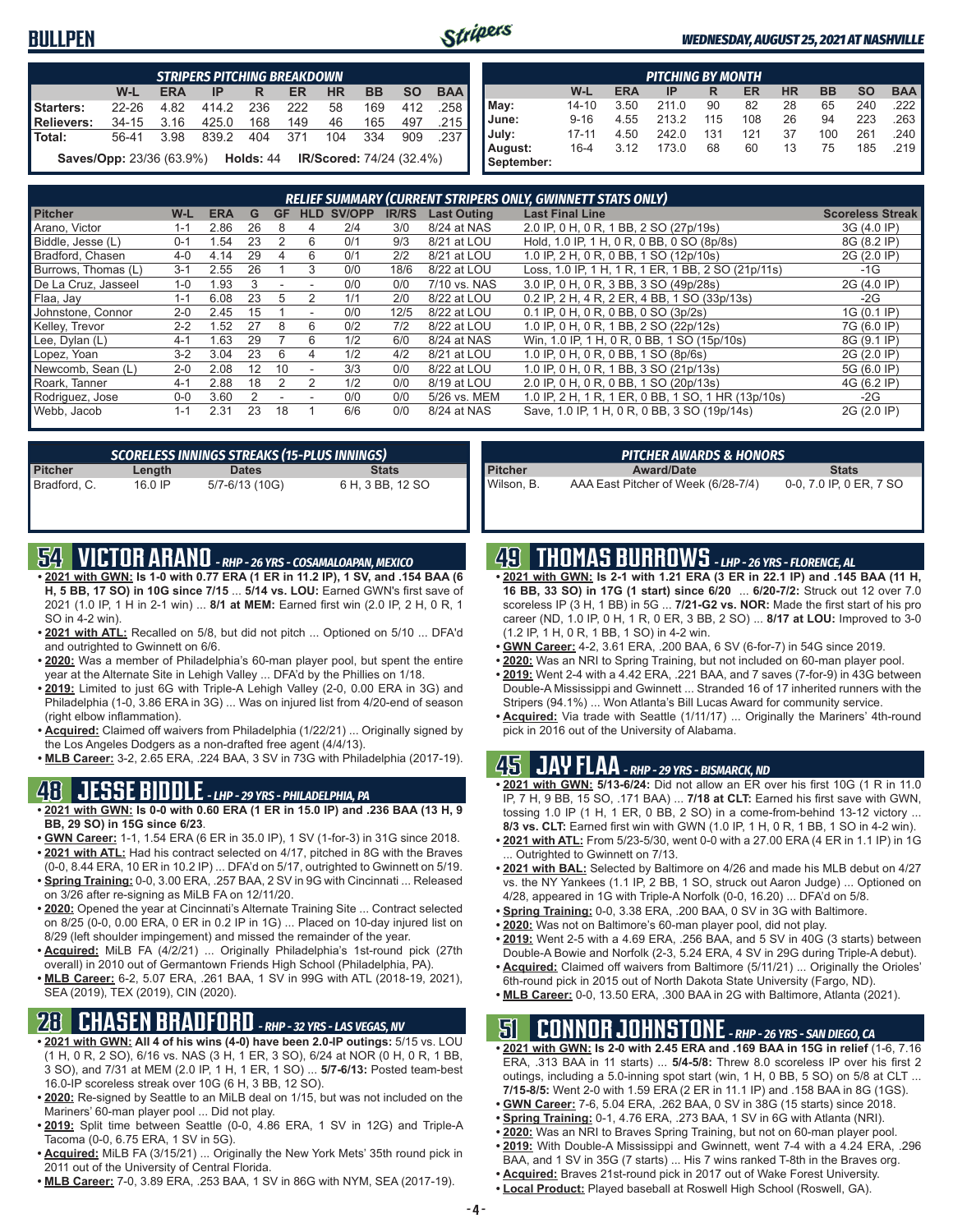### **BULLPEN**



#### *WEDNESDAY, AUGUST 25, 2021 AT NASHVILLE*

|               | <b>STRIPERS PITCHING BREAKDOWN</b>                                              |            |       |     |     |           |           |           |            |  |  |  |  |  |  |
|---------------|---------------------------------------------------------------------------------|------------|-------|-----|-----|-----------|-----------|-----------|------------|--|--|--|--|--|--|
|               | W-L                                                                             | <b>ERA</b> | IP    | R   | ER  | <b>HR</b> | <b>BB</b> | <b>SO</b> | <b>BAA</b> |  |  |  |  |  |  |
| Starters:     | $22 - 26$                                                                       | 4.82       | 414.2 | 236 | 222 | 58        | 169       | 412       | .258       |  |  |  |  |  |  |
| Relievers:    | $34-15$                                                                         | 3.16       | 425.0 | 168 | 149 | 46        | 165       | 497       | .215       |  |  |  |  |  |  |
| <b>Total:</b> | 56-41                                                                           | 3.98       | 839.2 | 404 | 371 | 104       | 334       | 909       | .237       |  |  |  |  |  |  |
|               | IR/Scored: 74/24 (32.4%)<br><b>Saves/Opp: 23/36 (63.9%)</b><br><b>Holds: 44</b> |            |       |     |     |           |           |           |            |  |  |  |  |  |  |

| <b>PITCHING BY MONTH</b> |           |            |       |     |     |           |           |           |            |  |
|--------------------------|-----------|------------|-------|-----|-----|-----------|-----------|-----------|------------|--|
|                          | W-L       | <b>ERA</b> | IP    | R   | ER  | <b>HR</b> | <b>BB</b> | <b>SO</b> | <b>BAA</b> |  |
| May:                     | $14 - 10$ | 3.50       | 211.0 | 90  | 82  | 28        | 65        | 240       | .222 I     |  |
| June:                    | $9 - 16$  | 4.55       | 213.2 | 115 | 108 | 26        | 94        | 223       | .263 I     |  |
| July:                    | $17 - 11$ | 4.50       | 242.0 | 131 | 121 | 37        | 100       | 261       | .240 I     |  |
| August:<br>September:    | $16 - 4$  | 3.12       | 173.0 | 68  | 60  | 13        | 75        | 185       | .219       |  |

| <b>RELIEF SUMMARY (CURRENT STRIPERS ONLY, GWINNETT STATS ONLY)</b> |         |            |    |           |            |        |              |                    |                                                    |                         |
|--------------------------------------------------------------------|---------|------------|----|-----------|------------|--------|--------------|--------------------|----------------------------------------------------|-------------------------|
| <b>Pitcher</b>                                                     | W-L     | <b>ERA</b> | G  | <b>GF</b> | <b>HLD</b> | SV/OPP | <b>IR/RS</b> | <b>Last Outing</b> | <b>Last Final Line</b>                             | <b>Scoreless Streak</b> |
| Arano, Victor                                                      | 1-1     | 2.86       | 26 | 8         | 4          | 2/4    | 3/0          | 8/24 at NAS        | 2.0 IP, 0 H, 0 R, 1 BB, 2 SO (27p/19s)             | 3G (4.0 IP)             |
| Biddle, Jesse (L)                                                  | $0 - 1$ | .54        | 23 | 2         | 6          | 0/1    | 9/3          | 8/21 at LOU        | Hold, 1.0 IP, 1 H, 0 R, 0 BB, 0 SO (8p/8s)         | 8G (8.2 IP)             |
| Bradford, Chasen                                                   | $4 - 0$ | 4.14       | 29 |           | 6          | 0/1    | 2/2          | 8/21 at LOU        | 1.0 IP, 2 H, 0 R, 0 BB, 1 SO (12p/10s)             | 2G (2.0 IP)             |
| Burrows. Thomas (L)                                                | $3 - 1$ | 2.55       | 26 |           | 3          | 0/0    | 18/6         | 8/22 at LOU        | Loss, 1.0 IP, 1 H, 1 R, 1 ER, 1 BB, 2 SO (21p/11s) | $-1G$                   |
| De La Cruz, Jasseel                                                | $1 - 0$ | 1.93       | 3  |           |            | 0/0    | 0/0          | 7/10 vs. NAS       | 3.0 IP, 0 H, 0 R, 3 BB, 3 SO (49p/28s)             | 2G (4.0 IP)             |
| Flaa, Jay                                                          | $1 - 1$ | 6.08       | 23 | ٠h        |            | 1/1    | 2/0          | 8/22 at LOU        | 0.2 IP, 2 H, 4 R, 2 ER, 4 BB, 1 SO (33p/13s)       | $-2G$                   |
| Johnstone, Connor                                                  | $2 - 0$ | 2.45       | 15 |           |            | 0/0    | 12/5         | 8/22 at LOU        | 0.1 IP, 0 H, 0 R, 0 BB, 0 SO (3p/2s)               | 1G (0.1 IP)             |
| Kelley, Trevor                                                     | $2-2$   | 1.52       | 27 | 8         | 6          | 0/2    | 7/2          | 8/22 at LOU        | 1.0 IP, 0 H, 0 R, 1 BB, 2 SO (22p/12s)             | 7G (6.0 IP)             |
| Lee, Dylan (L)                                                     | $4-1$   | .63        | 29 |           | 6          | 1/2    | 6/0          | 8/24 at NAS        | Win, 1.0 IP, 1 H, 0 R, 0 BB, 1 SO (15p/10s)        | 8G (9.1 IP)             |
| Lopez, Yoan                                                        | $3-2$   | 3.04       | 23 | 6         | 4          | 1/2    | 4/2          | 8/21 at LOU        | 1.0 IP, 0 H, 0 R, 0 BB, 1 SO (8p/6s)               | 2G (2.0 IP)             |
| Newcomb, Sean (L)                                                  | $2 - 0$ | 2.08       | 12 | 10        |            | 3/3    | 0/0          | 8/22 at LOU        | 1.0 IP, 0 H, 0 R, 1 BB, 3 SO (21p/13s)             | 5G (6.0 IP)             |
| Roark, Tanner                                                      | $4-1$   | 2.88       | 18 |           |            | 1/2    | 0/0          | 8/19 at LOU        | 2.0 IP, 0 H, 0 R, 0 BB, 1 SO (20p/13s)             | 4G (6.2 IP)             |
| Rodriguez, Jose                                                    | $0 - 0$ | 3.60       |    |           |            | 0/0    | 0/0          | 5/26 vs. MEM       | 1.0 IP, 2 H, 1 R, 1 ER, 0 BB, 1 SO, 1 HR (13p/10s) | $-2G$                   |
| Webb, Jacob                                                        | $1 - 1$ | 2.31       | 23 | 18        |            | 6/6    | 0/0          | 8/24 at NAS        | Save, 1.0 IP, 1 H, 0 R, 0 BB, 3 SO (19p/14s)       | 2G (2.0 IP)             |

| <b>SCORELESS INNINGS STREAKS (15-PLUS INNINGS)</b> |         |                |                  |  |  |  |  |  |  |
|----------------------------------------------------|---------|----------------|------------------|--|--|--|--|--|--|
| Pitcher                                            | Length  | <b>Dates</b>   | <b>Stats</b>     |  |  |  |  |  |  |
| Bradford, C.                                       | 16.0 IP | 5/7-6/13 (10G) | 6 H, 3 BB, 12 SO |  |  |  |  |  |  |

## **54 VICTOR ARANO** *- RHP - 26 YRS - COSAMALOAPAN, MEXICO*

- **• 2021 with GWN: Is 1-0 with 0.77 ERA (1 ER in 11.2 IP), 1 SV, and .154 BAA (6 H, 5 BB, 17 SO) in 10G since 7/15** ... **5/14 vs. LOU:** Earned GWN's first save of 2021 (1.0 IP, 1 H in 2-1 win) ... **8/1 at MEM:** Earned first win (2.0 IP, 2 H, 0 R, 1 SO in 4-2 win).
- **• 2021 with ATL:** Recalled on 5/8, but did not pitch ... Optioned on 5/10 ... DFA'd and outrighted to Gwinnett on 6/6.
- **• 2020:** Was a member of Philadelphia's 60-man player pool, but spent the entire year at the Alternate Site in Lehigh Valley ... DFA'd by the Phillies on 1/18.
- **• 2019:** Limited to just 6G with Triple-A Lehigh Valley (2-0, 0.00 ERA in 3G) and Philadelphia (1-0, 3.86 ERA in 3G) ... Was on injured list from 4/20-end of season (right elbow inflammation).
- **• Acquired:** Claimed off waivers from Philadelphia (1/22/21) ... Originally signed by the Los Angeles Dodgers as a non-drafted free agent (4/4/13).
- **• MLB Career:** 3-2, 2.65 ERA, .224 BAA, 3 SV in 73G with Philadelphia (2017-19).

### **48 JESSE BIDDLE** *- LHP - 29 YRS - PHILADELPHIA, PA*

- **• 2021 with GWN: Is 0-0 with 0.60 ERA (1 ER in 15.0 IP) and .236 BAA (13 H, 9 BB, 29 SO) in 15G since 6/23**.
- **• GWN Career:** 1-1, 1.54 ERA (6 ER in 35.0 IP), 1 SV (1-for-3) in 31G since 2018. **• 2021 with ATL:** Had his contract selected on 4/17, pitched in 8G with the Braves
- (0-0, 8.44 ERA, 10 ER in 10.2 IP) ... DFA'd on 5/17, outrighted to Gwinnett on 5/19. **• Spring Training:** 0-0, 3.00 ERA, .257 BAA, 2 SV in 9G with Cincinnati ... Released
- on 3/26 after re-signing as MiLB FA on 12/11/20. **• 2020:** Opened the year at Cincinnati's Alternate Training Site ... Contract selected
- on 8/25 (0-0, 0.00 ERA, 0 ER in 0.2 IP in 1G) ... Placed on 10-day injured list on 8/29 (left shoulder impingement) and missed the remainder of the year.
- **• Acquired:** MiLB FA (4/2/21) ... Originally Philadelphia's 1st-round pick (27th overall) in 2010 out of Germantown Friends High School (Philadelphia, PA).
- **• MLB Career:** 6-2, 5.07 ERA, .261 BAA, 1 SV in 99G with ATL (2018-19, 2021), SEA (2019), TEX (2019), CIN (2020).

### **28 CHASEN BRADFORD** *- RHP - 32 YRS - LAS VEGAS, NV*

- **• 2021 with GWN: All 4 of his wins (4-0) have been 2.0-IP outings:** 5/15 vs. LOU (1 H, 0 R, 2 SO), 6/16 vs. NAS (3 H, 1 ER, 3 SO), 6/24 at NOR (0 H, 0 R, 1 BB, 3 SO), and 7/31 at MEM (2.0 IP, 1 H, 1 ER, 1 SO) ... **5/7-6/13:** Posted team-best 16.0-IP scoreless streak over 10G (6 H, 3 BB, 12 SO).
- **• 2020:** Re-signed by Seattle to an MiLB deal on 1/15, but was not included on the Mariners' 60-man player pool ... Did not play.
- **• 2019:** Split time between Seattle (0-0, 4.86 ERA, 1 SV in 12G) and Triple-A Tacoma (0-0, 6.75 ERA, 1 SV in 5G).
- **• Acquired:** MiLB FA (3/15/21) ... Originally the New York Mets' 35th round pick in 2011 out of the University of Central Florida.
- **• MLB Career:** 7-0, 3.89 ERA, .253 BAA, 1 SV in 86G with NYM, SEA (2017-19).

| <b>PITCHER AWARDS &amp; HONORS</b> |                                     |                         |  |  |  |  |  |  |
|------------------------------------|-------------------------------------|-------------------------|--|--|--|--|--|--|
| <b>Pitcher</b>                     | <b>Award/Date</b>                   | <b>Stats</b>            |  |  |  |  |  |  |
| Wilson. B.                         | AAA East Pitcher of Week (6/28-7/4) | 0-0, 7.0 IP, 0 ER, 7 SO |  |  |  |  |  |  |

### **49 THOMAS BURROWS** *- LHP - 26 YRS - FLORENCE, AL*

- **• 2021 with GWN: Is 2-1 with 1.21 ERA (3 ER in 22.1 IP) and .145 BAA (11 H, 16 BB, 33 SO) in 17G (1 start) since 6/20** ... **6/20-7/2:** Struck out 12 over 7.0 scoreless IP (3 H, 1 BB) in 5G ... **7/21-G2 vs. NOR:** Made the first start of his pro career (ND, 1.0 IP, 0 H, 1 R, 0 ER, 3 BB, 2 SO) ... **8/17 at LOU:** Improved to 3-0 (1.2 IP, 1 H, 0 R, 1 BB, 1 SO) in 4-2 win.
- **• GWN Career:** 4-2, 3.61 ERA, .200 BAA, 6 SV (6-for-7) in 54G since 2019.
- **• 2020:** Was an NRI to Spring Training, but not included on 60-man player pool.
- **• 2019:** Went 2-4 with a 4.42 ERA, .221 BAA, and 7 saves (7-for-9) in 43G between Double-A Mississippi and Gwinnett ... Stranded 16 of 17 inherited runners with the Stripers (94.1%) ... Won Atlanta's Bill Lucas Award for community service.
- **• Acquired:** Via trade with Seattle (1/11/17) ... Originally the Mariners' 4th-round pick in 2016 out of the University of Alabama.

### **45 JAY FLAA** *- RHP - 29 YRS - BISMARCK, ND*

- **• 2021 with GWN: 5/13-6/24:** Did not allow an ER over his first 10G (1 R in 11.0 IP, 7 H, 9 BB, 15 SO, .171 BAA) ... **7/18 at CLT:** Earned his first save with GWN, tossing 1.0 IP (1 H, 1 ER, 0 BB, 2 SO) in a come-from-behind 13-12 victory ... **8/3 vs. CLT:** Earned first win with GWN (1.0 IP, 1 H, 0 R, 1 BB, 1 SO in 4-2 win).
- **• 2021 with ATL:** From 5/23-5/30, went 0-0 with a 27.00 ERA (4 ER in 1.1 IP) in 1G . Outrighted to Gwinnett on 7/13.
- **• 2021 with BAL:** Selected by Baltimore on 4/26 and made his MLB debut on 4/27 vs. the NY Yankees (1.1 IP, 2 BB, 1 SO, struck out Aaron Judge) ... Optioned on 4/28, appeared in 1G with Triple-A Norfolk (0-0, 16.20) ... DFA'd on 5/8.
- **• Spring Training:** 0-0, 3.38 ERA, .200 BAA, 0 SV in 3G with Baltimore.
- **• 2020:** Was not on Baltimore's 60-man player pool, did not play.
- **• 2019:** Went 2-5 with a 4.69 ERA, .256 BAA, and 5 SV in 40G (3 starts) between
- Double-A Bowie and Norfolk (2-3, 5.24 ERA, 4 SV in 29G during Triple-A debut).
- **• Acquired:** Claimed off waivers from Baltimore (5/11/21) ... Originally the Orioles' 6th-round pick in 2015 out of North Dakota State University (Fargo, ND).
- **• MLB Career:** 0-0, 13.50 ERA, .300 BAA in 2G with Baltimore, Atlanta (2021).

### **51 CONNOR JOHNSTONE** *- RHP - 26 YRS - SAN DIEGO, CA*

- **• 2021 with GWN: Is 2-0 with 2.45 ERA and .169 BAA in 15G in relief** (1-6, 7.16 ERA, .313 BAA in 11 starts) ... **5/4-5/8:** Threw 8.0 scoreless IP over his first 2 outings, including a 5.0-inning spot start (win, 1 H, 0 BB, 5 SO) on 5/8 at CLT ... **7/15-8/5:** Went 2-0 with 1.59 ERA (2 ER in 11.1 IP) and .158 BAA in 8G (1GS).
- **• GWN Career:** 7-6, 5.04 ERA, .262 BAA, 0 SV in 38G (15 starts) since 2018. **• Spring Training:** 0-1, 4.76 ERA, .273 BAA, 1 SV in 6G with Atlanta (NRI).
- **• 2020:** Was an NRI to Braves Spring Training, but not on 60-man player pool.
- **• 2019:** With Double-A Mississippi and Gwinnett, went 7-4 with a 4.24 ERA, .296
- BAA, and 1 SV in 35G (7 starts) ... His 7 wins ranked T-8th in the Braves org. **• Acquired:** Braves 21st-round pick in 2017 out of Wake Forest University.
- **• Local Product:** Played baseball at Roswell High School (Roswell, GA).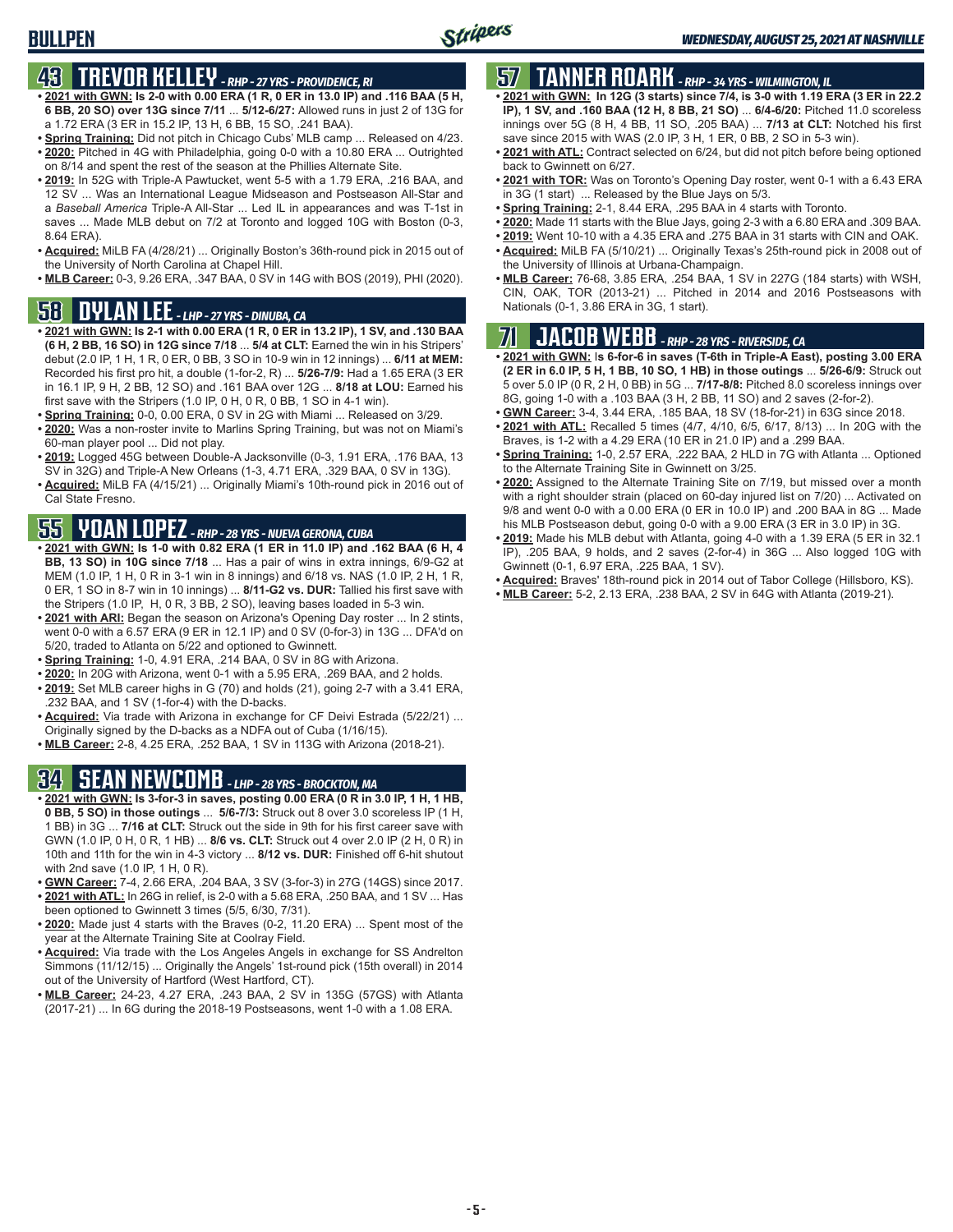## **43 TREVOR KELLEY** *- RHP - 27 YRS - PROVIDENCE, RI*

- **• 2021 with GWN: Is 2-0 with 0.00 ERA (1 R, 0 ER in 13.0 IP) and .116 BAA (5 H, 6 BB, 20 SO) over 13G since 7/11** ... **5/12-6/27:** Allowed runs in just 2 of 13G for a 1.72 ERA (3 ER in 15.2 IP, 13 H, 6 BB, 15 SO, .241 BAA).
- **• Spring Training:** Did not pitch in Chicago Cubs' MLB camp ... Released on 4/23. **• 2020:** Pitched in 4G with Philadelphia, going 0-0 with a 10.80 ERA ... Outrighted on 8/14 and spent the rest of the season at the Phillies Alternate Site.
- **• 2019:** In 52G with Triple-A Pawtucket, went 5-5 with a 1.79 ERA, .216 BAA, and 12 SV ... Was an International League Midseason and Postseason All-Star and a *Baseball America* Triple-A All-Star ... Led IL in appearances and was T-1st in saves ... Made MLB debut on 7/2 at Toronto and logged 10G with Boston (0-3, 8.64 ERA).
- **• Acquired:** MiLB FA (4/28/21) ... Originally Boston's 36th-round pick in 2015 out of the University of North Carolina at Chapel Hill.
- **• MLB Career:** 0-3, 9.26 ERA, .347 BAA, 0 SV in 14G with BOS (2019), PHI (2020).

## **58 DYLAN LEE** *- LHP - 27 YRS - DINUBA, CA*

- **• 2021 with GWN: Is 2-1 with 0.00 ERA (1 R, 0 ER in 13.2 IP), 1 SV, and .130 BAA (6 H, 2 BB, 16 SO) in 12G since 7/18** ... **5/4 at CLT:** Earned the win in his Stripers' debut (2.0 IP, 1 H, 1 R, 0 ER, 0 BB, 3 SO in 10-9 win in 12 innings) ... **6/11 at MEM:** Recorded his first pro hit, a double (1-for-2, R) ... **5/26-7/9:** Had a 1.65 ERA (3 ER in 16.1 IP, 9 H, 2 BB, 12 SO) and .161 BAA over 12G ... **8/18 at LOU:** Earned his first save with the Stripers (1.0 IP, 0 H, 0 R, 0 BB, 1 SO in 4-1 win).
- **• Spring Training:** 0-0, 0.00 ERA, 0 SV in 2G with Miami ... Released on 3/29.
- **• 2020:** Was a non-roster invite to Marlins Spring Training, but was not on Miami's 60-man player pool ... Did not play.
- **• 2019:** Logged 45G between Double-A Jacksonville (0-3, 1.91 ERA, .176 BAA, 13 SV in 32G) and Triple-A New Orleans (1-3, 4.71 ERA, .329 BAA, 0 SV in 13G).
- **• Acquired:** MiLB FA (4/15/21) ... Originally Miami's 10th-round pick in 2016 out of Cal State Fresno.

## **55 YOAN LOPEZ** *- RHP - 28 YRS - NUEVA GERONA, CUBA*

- **• 2021 with GWN: Is 1-0 with 0.82 ERA (1 ER in 11.0 IP) and .162 BAA (6 H, 4 BB, 13 SO) in 10G since 7/18** ... Has a pair of wins in extra innings, 6/9-G2 at MEM (1.0 IP, 1 H, 0 R in 3-1 win in 8 innings) and 6/18 vs. NAS (1.0 IP, 2 H, 1 R, 0 ER, 1 SO in 8-7 win in 10 innings) ... **8/11-G2 vs. DUR:** Tallied his first save with the Stripers (1.0 IP, H, 0 R, 3 BB, 2 SO), leaving bases loaded in 5-3 win.
- **• 2021 with ARI:** Began the season on Arizona's Opening Day roster ... In 2 stints, went 0-0 with a 6.57 ERA (9 ER in 12.1 IP) and 0 SV (0-for-3) in 13G ... DFA'd on 5/20, traded to Atlanta on 5/22 and optioned to Gwinnett.
- **• Spring Training:** 1-0, 4.91 ERA, .214 BAA, 0 SV in 8G with Arizona.
- **• 2020:** In 20G with Arizona, went 0-1 with a 5.95 ERA, .269 BAA, and 2 holds.
- **• 2019:** Set MLB career highs in G (70) and holds (21), going 2-7 with a 3.41 ERA, .232 BAA, and 1 SV (1-for-4) with the D-backs.
- **• Acquired:** Via trade with Arizona in exchange for CF Deivi Estrada (5/22/21) ... Originally signed by the D-backs as a NDFA out of Cuba (1/16/15).
- **• MLB Career:** 2-8, 4.25 ERA, .252 BAA, 1 SV in 113G with Arizona (2018-21).

## **34 SEAN NEWCOMB** *- LHP - 28 YRS - BROCKTON, MA*

- **• 2021 with GWN: Is 3-for-3 in saves, posting 0.00 ERA (0 R in 3.0 IP, 1 H, 1 HB, 0 BB, 5 SO) in those outings** ... **5/6-7/3:** Struck out 8 over 3.0 scoreless IP (1 H, 1 BB) in 3G ... **7/16 at CLT:** Struck out the side in 9th for his first career save with GWN (1.0 IP, 0 H, 0 R, 1 HB) ... **8/6 vs. CLT:** Struck out 4 over 2.0 IP (2 H, 0 R) in 10th and 11th for the win in 4-3 victory ... **8/12 vs. DUR:** Finished off 6-hit shutout with 2nd save (1.0 IP, 1 H, 0 R).
- **• GWN Career:** 7-4, 2.66 ERA, .204 BAA, 3 SV (3-for-3) in 27G (14GS) since 2017. **• 2021 with ATL:** In 26G in relief, is 2-0 with a 5.68 ERA, .250 BAA, and 1 SV ... Has
- been optioned to Gwinnett 3 times (5/5, 6/30, 7/31).
- **• 2020:** Made just 4 starts with the Braves (0-2, 11.20 ERA) ... Spent most of the year at the Alternate Training Site at Coolray Field.
- **• Acquired:** Via trade with the Los Angeles Angels in exchange for SS Andrelton Simmons (11/12/15) ... Originally the Angels' 1st-round pick (15th overall) in 2014 out of the University of Hartford (West Hartford, CT).
- **MLB Career:** 24-23, 4.27 ERA, .243 BAA, 2 SV in 135G (57GS) with Atlanta (2017-21) ... In 6G during the 2018-19 Postseasons, went 1-0 with a 1.08 ERA.

## **57 TANNER ROARK** *- RHP - 34 YRS - WILMINGTON, IL*

- **• 2021 with GWN: In 12G (3 starts) since 7/4, is 3-0 with 1.19 ERA (3 ER in 22.2 IP), 1 SV, and .160 BAA (12 H, 8 BB, 21 SO)** ... **6/4-6/20:** Pitched 11.0 scoreless innings over 5G (8 H, 4 BB, 11 SO, .205 BAA) ... **7/13 at CLT:** Notched his first save since 2015 with WAS (2.0 IP, 3 H, 1 ER, 0 BB, 2 SO in 5-3 win).
- **• 2021 with ATL:** Contract selected on 6/24, but did not pitch before being optioned back to Gwinnett on 6/27.
- **• 2021 with TOR:** Was on Toronto's Opening Day roster, went 0-1 with a 6.43 ERA in 3G (1 start) ... Released by the Blue Jays on 5/3.
- **• Spring Training:** 2-1, 8.44 ERA, .295 BAA in 4 starts with Toronto.
- **• 2020:** Made 11 starts with the Blue Jays, going 2-3 with a 6.80 ERA and .309 BAA.
- **• 2019:** Went 10-10 with a 4.35 ERA and .275 BAA in 31 starts with CIN and OAK.
- **• Acquired:** MiLB FA (5/10/21) ... Originally Texas's 25th-round pick in 2008 out of the University of Illinois at Urbana-Champaign.
- **• MLB Career:** 76-68, 3.85 ERA, .254 BAA, 1 SV in 227G (184 starts) with WSH, CIN, OAK, TOR (2013-21) ... Pitched in 2014 and 2016 Postseasons with Nationals (0-1, 3.86 ERA in 3G, 1 start).

## **71 JACOB WEBB** *- RHP - 28 YRS - RIVERSIDE, CA*

- **• 2021 with GWN:** I**s 6-for-6 in saves (T-6th in Triple-A East), posting 3.00 ERA (2 ER in 6.0 IP, 5 H, 1 BB, 10 SO, 1 HB) in those outings** ... **5/26-6/9:** Struck out 5 over 5.0 IP (0 R, 2 H, 0 BB) in 5G ... **7/17-8/8:** Pitched 8.0 scoreless innings over 8G, going 1-0 with a .103 BAA (3 H, 2 BB, 11 SO) and 2 saves (2-for-2).
- **• GWN Career:** 3-4, 3.44 ERA, .185 BAA, 18 SV (18-for-21) in 63G since 2018.
- **• 2021 with ATL:** Recalled 5 times (4/7, 4/10, 6/5, 6/17, 8/13) ... In 20G with the Braves, is 1-2 with a 4.29 ERA (10 ER in 21.0 IP) and a .299 BAA.
- **• Spring Training:** 1-0, 2.57 ERA, .222 BAA, 2 HLD in 7G with Atlanta ... Optioned to the Alternate Training Site in Gwinnett on 3/25.
- **• 2020:** Assigned to the Alternate Training Site on 7/19, but missed over a month with a right shoulder strain (placed on 60-day injured list on 7/20) ... Activated on 9/8 and went 0-0 with a 0.00 ERA (0 ER in 10.0 IP) and .200 BAA in 8G ... Made his MLB Postseason debut, going 0-0 with a 9.00 ERA (3 ER in 3.0 IP) in 3G.
- **• 2019:** Made his MLB debut with Atlanta, going 4-0 with a 1.39 ERA (5 ER in 32.1 IP), .205 BAA, 9 holds, and 2 saves (2-for-4) in 36G ... Also logged 10G with Gwinnett (0-1, 6.97 ERA, .225 BAA, 1 SV).
- **• Acquired:** Braves' 18th-round pick in 2014 out of Tabor College (Hillsboro, KS).
- **• MLB Career:** 5-2, 2.13 ERA, .238 BAA, 2 SV in 64G with Atlanta (2019-21).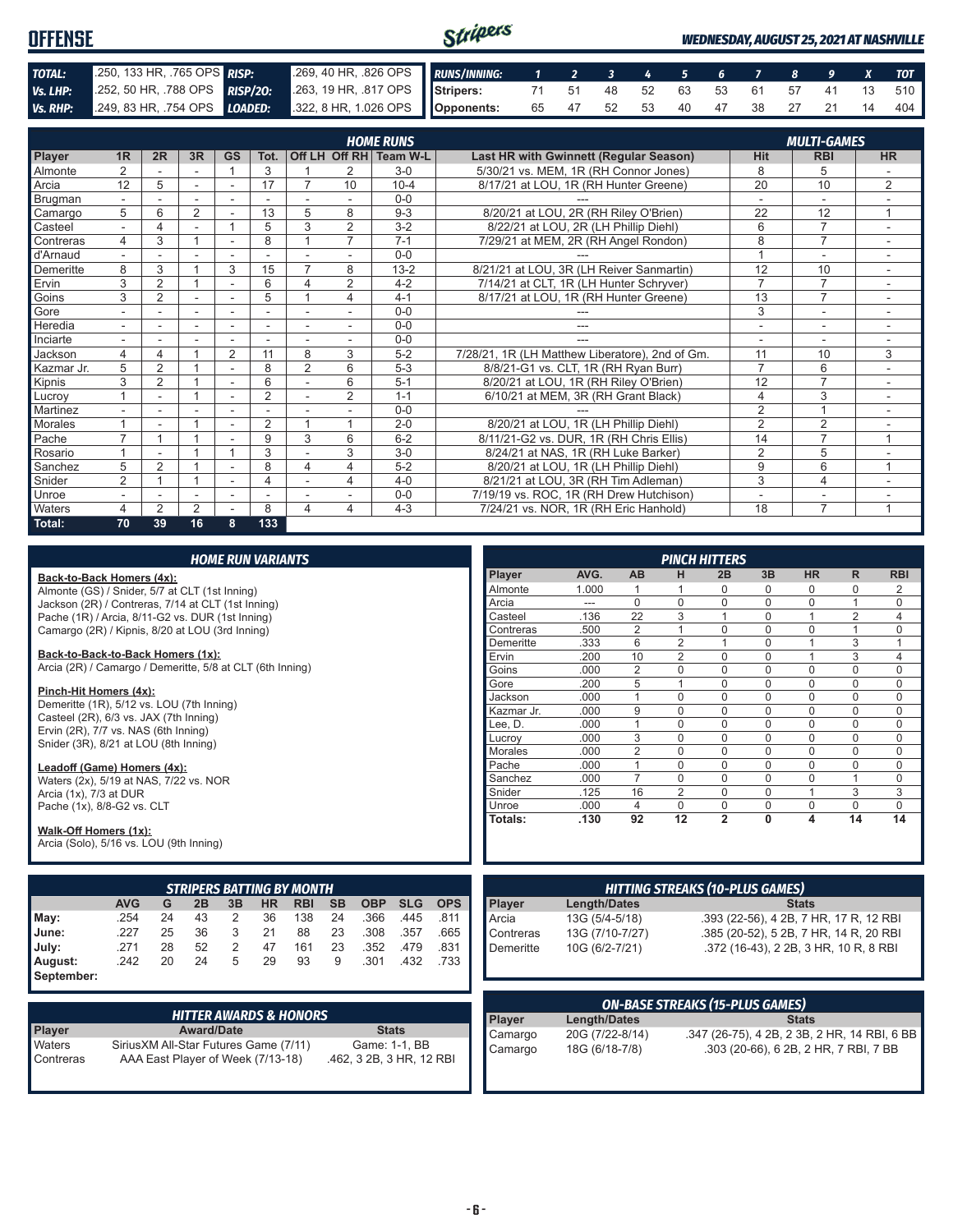| <b>OFFENSE</b> |                                                                                              |                                                          | Stripers |  |                               |  |  |  | <b>WEDNESDAY, AUGUST 25, 2021 AT NASHVILLE</b> |
|----------------|----------------------------------------------------------------------------------------------|----------------------------------------------------------|----------|--|-------------------------------|--|--|--|------------------------------------------------|
| TOTAL:         | 250, 133 HR, 765 OPS RISP:                                                                   | 269, 40 HR, 826 OPS RUNS/INNING: 1 2 3 4 5 6 7 8 9 X TOT |          |  |                               |  |  |  |                                                |
| Vs. LHP:       | 252, 50 HR, 788 OPS RISP/20: 263, 19 HR, 817 OPS Stripers: 71 51 48 52 63 53 61 57 41 13 510 |                                                          |          |  |                               |  |  |  |                                                |
|                | Vs. RHP: 249, 83 HR, 754 OPS LOADED: 322, 8 HR, 1.026 OPS Opponents:                         |                                                          |          |  | 65 47 52 53 40 47 38 27 21 14 |  |  |  | 404                                            |

|            | <b>HOME RUNS</b><br><b>MULTI-GAMES</b> |                |                |                          |                |                          |                |                        |                                                 |                |                |                          |
|------------|----------------------------------------|----------------|----------------|--------------------------|----------------|--------------------------|----------------|------------------------|-------------------------------------------------|----------------|----------------|--------------------------|
| Player     | 1R                                     | 2R             | 3R             | <b>GS</b>                | Tot.           |                          |                | Off LH Off RH Team W-L | Last HR with Gwinnett (Regular Season)          | <b>Hit</b>     | <b>RBI</b>     | <b>HR</b>                |
| Almonte    | $\overline{2}$                         |                |                | $\overline{ }$           | 3              |                          | 2              | $3-0$                  | 5/30/21 vs. MEM, 1R (RH Connor Jones)           | 8              | 5              |                          |
| Arcia      | 12                                     | 5              | ÷.             | $\sim$                   | 17             |                          | 10             | $10 - 4$               | 8/17/21 at LOU, 1R (RH Hunter Greene)           | 20             | 10             | 2                        |
| Brugman    |                                        |                |                |                          |                |                          |                | $0 - 0$                |                                                 |                |                |                          |
| Camargo    | 5                                      | 6              | 2              |                          | 13             | 5                        | 8              | $9 - 3$                | 8/20/21 at LOU, 2R (RH Riley O'Brien)           | 22             | 12             | 1                        |
| Casteel    | $\sim$                                 | 4              | ۰              |                          | 5              | 3                        | $\overline{2}$ | $3 - 2$                | 8/22/21 at LOU, 2R (LH Phillip Diehl)           | 6              | $\overline{7}$ |                          |
| Contreras  | 4                                      | 3              |                |                          | 8              |                          | $\overline{7}$ | $7 - 1$                | 7/29/21 at MEM, 2R (RH Angel Rondon)            | 8              | $\overline{7}$ |                          |
| d'Arnaud   |                                        |                |                |                          |                |                          |                | $0 - 0$                |                                                 |                | ٠              | $\overline{\phantom{a}}$ |
| Demeritte  | 8                                      | 3              |                | 3                        | 15             | $\overline{7}$           | 8              | $13 - 2$               | 8/21/21 at LOU, 3R (LH Reiver Sanmartin)        | 12             | 10             |                          |
| Ervin      | 3                                      | $\overline{2}$ |                | ٠                        | 6              | 4                        | 2              | $4 - 2$                | 7/14/21 at CLT, 1R (LH Hunter Schryver)         | $\overline{7}$ | $\overline{7}$ | $\sim$                   |
| Goins      | 3                                      | $\overline{2}$ |                | ٠                        | 5              |                          | 4              | $4 - 1$                | 8/17/21 at LOU, 1R (RH Hunter Greene)           | 13             | $\overline{7}$ |                          |
| Gore       |                                        |                | ٠              |                          |                |                          |                | $0 - 0$                |                                                 | 3              | ۰              |                          |
| Heredia    | $\sim$                                 |                | ٠              | $\overline{\phantom{a}}$ |                | $\overline{\phantom{a}}$ |                | $0 - 0$                | ---                                             | ٠              | ٠              | ٠.                       |
| Inciarte   |                                        |                |                |                          |                |                          |                | $0 - 0$                |                                                 |                | ٠              |                          |
| Jackson    | 4                                      | 4              |                | $\overline{2}$           | 11             | 8                        | 3              | $5-2$                  | 7/28/21, 1R (LH Matthew Liberatore), 2nd of Gm. | 11             | 10             | 3                        |
| Kazmar Jr. | 5                                      | $\overline{2}$ |                |                          | 8              | $\overline{2}$           | 6              | $5-3$                  | 8/8/21-G1 vs. CLT, 1R (RH Ryan Burr)            | $\overline{7}$ | 6              |                          |
| Kipnis     | 3                                      | $\overline{2}$ |                | $\sim$                   | 6              |                          | 6              | $5 - 1$                | 8/20/21 at LOU, 1R (RH Riley O'Brien)           | 12             | $\overline{7}$ |                          |
| Lucrov     |                                        | ۰              |                | ۰                        | $\overline{2}$ | $\blacksquare$           | $\overline{2}$ | $1 - 1$                | 6/10/21 at MEM, 3R (RH Grant Black)             | $\overline{4}$ | 3              | $\sim$                   |
| Martinez   |                                        |                |                |                          |                |                          |                | $0 - 0$                |                                                 | $\overline{2}$ | $\overline{A}$ |                          |
| Morales    |                                        |                |                | ٠                        | 2              |                          |                | $2 - 0$                | 8/20/21 at LOU, 1R (LH Phillip Diehl)           | $\overline{2}$ | $\overline{2}$ |                          |
| Pache      | $\overline{ }$                         |                |                |                          | 9              | 3                        | 6              | $6 - 2$                | 8/11/21-G2 vs. DUR, 1R (RH Chris Ellis)         | 14             | $\overline{7}$ | 1                        |
| Rosario    |                                        |                |                |                          | 3              |                          | 3              | $3-0$                  | 8/24/21 at NAS, 1R (RH Luke Barker)             | $\overline{2}$ | 5              |                          |
| Sanchez    | 5                                      | $\overline{2}$ |                | ٠                        | 8              | 4                        | 4              | $5-2$                  | 8/20/21 at LOU, 1R (LH Phillip Diehl)           | 9              | 6              | $\overline{1}$           |
| Snider     | $\overline{2}$                         |                |                | $\overline{\phantom{a}}$ | 4              |                          | 4              | $4 - 0$                | 8/21/21 at LOU, 3R (RH Tim Adleman)             | 3              | $\overline{4}$ | $\sim$                   |
| Unroe      |                                        |                | ۰              |                          |                |                          |                | $0 - 0$                | 7/19/19 vs. ROC, 1R (RH Drew Hutchison)         | ۰              | ۰              |                          |
| Waters     | 4                                      | $\overline{2}$ | $\overline{2}$ |                          | 8              | 4                        | 4              | $4 - 3$                | 7/24/21 vs. NOR, 1R (RH Eric Hanhold)           | 18             | $\overline{7}$ |                          |
| Total:     | 70                                     | 39             | 16             | 8                        | 133            |                          |                |                        |                                                 |                |                |                          |

|                                                                                                |                                        |    |                   |    | <b>HOME RUN VARIANTS</b>                      |            |           |                          |            |            |                | <b>PINCH HITTERS</b> |                 |                                        |                                              |              |              |                |                |
|------------------------------------------------------------------------------------------------|----------------------------------------|----|-------------------|----|-----------------------------------------------|------------|-----------|--------------------------|------------|------------|----------------|----------------------|-----------------|----------------------------------------|----------------------------------------------|--------------|--------------|----------------|----------------|
| Back-to-Back Homers (4x):                                                                      |                                        |    |                   |    |                                               |            |           |                          |            |            | Player         | AVG.                 | <b>AB</b>       | н                                      | 2B                                           | 3B           | <b>HR</b>    | R.             | <b>RBI</b>     |
| Almonte (GS) / Snider, 5/7 at CLT (1st Inning)                                                 |                                        |    |                   |    |                                               |            |           |                          |            |            | Almonte        | 1.000                | 1               |                                        | 0                                            | 0            | $\mathbf 0$  | 0              | $\overline{2}$ |
| Jackson (2R) / Contreras, 7/14 at CLT (1st Inning)                                             |                                        |    |                   |    |                                               |            |           |                          |            |            | Arcia          | $---$                | $\Omega$        | $\mathbf 0$                            | 0                                            | $\Omega$     | $\mathbf 0$  | $\mathbf{1}$   | 0              |
| Pache (1R) / Arcia, 8/11-G2 vs. DUR (1st Inning)                                               |                                        |    |                   |    |                                               |            |           |                          |            |            | Casteel        | .136                 | $\overline{22}$ | $\overline{3}$                         |                                              | $\mathbf 0$  | $\mathbf{1}$ | $\overline{2}$ | 4              |
| Camargo (2R) / Kipnis, 8/20 at LOU (3rd Inning)                                                |                                        |    |                   |    |                                               |            |           |                          |            |            | Contreras      | .500                 | $\overline{2}$  | $\mathbf{1}$                           | $\mathbf 0$                                  | $\mathbf 0$  | $\mathbf 0$  | $\mathbf{1}$   | 0              |
|                                                                                                |                                        |    |                   |    |                                               |            |           |                          |            | Demeritte  | .333           | 6                    | 2               | $\overline{1}$                         | $\Omega$                                     | $\mathbf{1}$ | 3            | $\mathbf{1}$   |                |
| Back-to-Back-to-Back Homers (1x):<br>Arcia (2R) / Camargo / Demeritte, 5/8 at CLT (6th Inning) |                                        |    |                   |    |                                               |            |           |                          |            | Ervin      | .200           | 10                   | 2               | $\mathbf 0$                            | $\Omega$                                     | $\mathbf{1}$ | 3            | 4              |                |
|                                                                                                |                                        |    |                   |    |                                               |            |           |                          |            |            | Goins          | .000                 | $\overline{2}$  | $\mathbf 0$                            | $\mathbf 0$                                  | $\Omega$     | $\mathbf 0$  | 0              | 0              |
|                                                                                                |                                        |    |                   |    |                                               |            |           |                          |            |            | Gore           | .200                 | 5               | $\mathbf{1}$                           | $\mathbf 0$                                  | $\Omega$     | $\Omega$     | $\Omega$       | $\Omega$       |
| Pinch-Hit Homers (4x):<br>Demeritte (1R), 5/12 vs. LOU (7th Inning)                            |                                        |    |                   |    |                                               |            |           |                          |            | Jackson    | .000           | $\mathbf{1}$         | $\mathbf 0$     | $\mathbf 0$                            | $\Omega$                                     | $\mathbf 0$  | $\Omega$     | $\Omega$       |                |
| Casteel (2R), 6/3 vs. JAX (7th Inning)                                                         |                                        |    |                   |    |                                               |            |           |                          |            |            | Kazmar Jr.     | .000                 | 9               | $\mathbf 0$                            | $\mathbf 0$                                  | $\Omega$     | $\Omega$     | $\Omega$       | $\mathbf 0$    |
| Ervin (2R), 7/7 vs. NAS (6th Inning)                                                           |                                        |    |                   |    |                                               |            |           |                          |            |            | Lee. D.        | .000                 | $\mathbf{1}$    | $\mathbf 0$                            | $\mathbf 0$                                  | $\mathbf 0$  | $\Omega$     | 0              | $\mathbf 0$    |
| Snider (3R), 8/21 at LOU (8th Inning)                                                          |                                        |    |                   |    |                                               |            |           |                          |            |            | Lucroy         | .000                 | 3               | $\mathbf 0$                            | $\mathbf 0$                                  | $\Omega$     | $\Omega$     | $\Omega$       | $\mathbf{0}$   |
|                                                                                                |                                        |    |                   |    |                                               |            |           |                          |            |            | <b>Morales</b> | .000                 | $\overline{2}$  | $\overline{0}$                         | $\Omega$                                     | $\Omega$     | $\Omega$     | $\Omega$       | $\overline{0}$ |
| Leadoff (Game) Homers (4x):                                                                    |                                        |    |                   |    |                                               |            |           |                          |            |            | Pache          | .000                 | $\mathbf{1}$    | $\Omega$                               | $\Omega$                                     | $\Omega$     | $\Omega$     | $\Omega$       | $\overline{0}$ |
| Waters (2x), 5/19 at NAS, 7/22 vs. NOR                                                         |                                        |    |                   |    |                                               |            |           |                          |            |            | Sanchez        | .000                 | $\overline{7}$  | $\Omega$                               | $\Omega$                                     | $\Omega$     | $\Omega$     | $\mathbf{1}$   | $\mathbf 0$    |
| Arcia (1x), 7/3 at DUR                                                                         |                                        |    |                   |    |                                               |            |           |                          |            | Snider     | .125           | 16                   | 2               | $\mathbf 0$                            | $\mathbf 0$                                  | $\mathbf{1}$ | 3            | 3              |                |
| Pache (1x), 8/8-G2 vs. CLT                                                                     |                                        |    |                   |    |                                               |            |           |                          |            |            | Unroe          | .000                 | $\overline{4}$  | $\mathbf 0$                            | $\mathbf 0$                                  | $\mathbf 0$  | $\mathbf 0$  | $\mathbf 0$    | $\mathbf 0$    |
| Walk-Off Homers (1x):                                                                          |                                        |    |                   |    |                                               |            |           |                          |            |            | Totals:        | .130                 | 92              | 12                                     | $\overline{2}$                               | $\mathbf{0}$ | 4            | 14             | 14             |
| Arcia (Solo), 5/16 vs. LOU (9th Inning)                                                        |                                        |    |                   |    |                                               |            |           |                          |            |            |                |                      |                 |                                        |                                              |              |              |                |                |
|                                                                                                |                                        |    |                   |    |                                               |            |           |                          |            |            |                |                      |                 |                                        |                                              |              |              |                |                |
|                                                                                                |                                        |    |                   |    |                                               |            |           |                          |            |            |                |                      |                 |                                        |                                              |              |              |                |                |
|                                                                                                | <b>AVG</b>                             | G  | 2B                | 3B | <b>STRIPERS BATTING BY MONTH</b><br><b>HR</b> | <b>RBI</b> | <b>SB</b> | <b>OBP</b>               | <b>SLG</b> | <b>OPS</b> | Player         | <b>Length/Dates</b>  |                 | <b>HITTING STREAKS (10-PLUS GAMES)</b> |                                              |              | <b>Stats</b> |                |                |
| May:                                                                                           | .254                                   | 24 | 43                | 2  | 36                                            | 138        | 24        | .366                     | .445       | .811       | Arcia          | 13G (5/4-5/18)       |                 |                                        | .393 (22-56), 4 2B, 7 HR, 17 R, 12 RBI       |              |              |                |                |
| June:                                                                                          | .227                                   | 25 | 36                | 3  | 21                                            | 88         | 23        | .308                     | .357       | .665       | Contreras      | 13G (7/10-7/27)      |                 |                                        |                                              |              |              |                |                |
|                                                                                                | .271                                   | 28 | 52                |    | 47                                            | 161        | 23        | .352                     | .479       | .831       |                |                      |                 |                                        | .385 (20-52), 5 2B, 7 HR, 14 R, 20 RBI       |              |              |                |                |
| July:                                                                                          |                                        |    |                   | 2  |                                               |            |           |                          |            |            | Demeritte      | 10G (6/2-7/21)       |                 |                                        | .372 (16-43), 2 2B, 3 HR, 10 R, 8 RBI        |              |              |                |                |
| August:                                                                                        | .242                                   | 20 | 24                | 5  | 29                                            | 93         | 9         | .301                     | .432       | .733       |                |                      |                 |                                        |                                              |              |              |                |                |
| September:                                                                                     |                                        |    |                   |    |                                               |            |           |                          |            |            |                |                      |                 |                                        |                                              |              |              |                |                |
|                                                                                                |                                        |    |                   |    |                                               |            |           |                          |            |            |                |                      |                 | <b>ON-BASE STREAKS (15-PLUS GAMES)</b> |                                              |              |              |                |                |
|                                                                                                |                                        |    |                   |    | <b>HITTER AWARDS &amp; HONORS</b>             |            |           |                          |            |            | <b>Player</b>  | <b>Length/Dates</b>  |                 |                                        |                                              |              | <b>Stats</b> |                |                |
| Player                                                                                         |                                        |    | <b>Award/Date</b> |    |                                               |            |           | <b>Stats</b>             |            |            | Camargo        | 20G (7/22-8/14)      |                 |                                        | .347 (26-75), 4 2B, 2 3B, 2 HR, 14 RBI, 6 BB |              |              |                |                |
| Waters                                                                                         | Sirius XM All-Star Futures Game (7/11) |    |                   |    |                                               |            |           | Game: 1-1, BB            |            |            | Camargo        | 18G (6/18-7/8)       |                 |                                        | .303 (20-66), 6 2B, 2 HR, 7 RBI, 7 BB        |              |              |                |                |
| Contreras                                                                                      |                                        |    |                   |    | AAA East Player of Week (7/13-18)             |            |           | .462, 3 2B, 3 HR, 12 RBI |            |            |                |                      |                 |                                        |                                              |              |              |                |                |
|                                                                                                |                                        |    |                   |    |                                               |            |           |                          |            |            |                |                      |                 |                                        |                                              |              |              |                |                |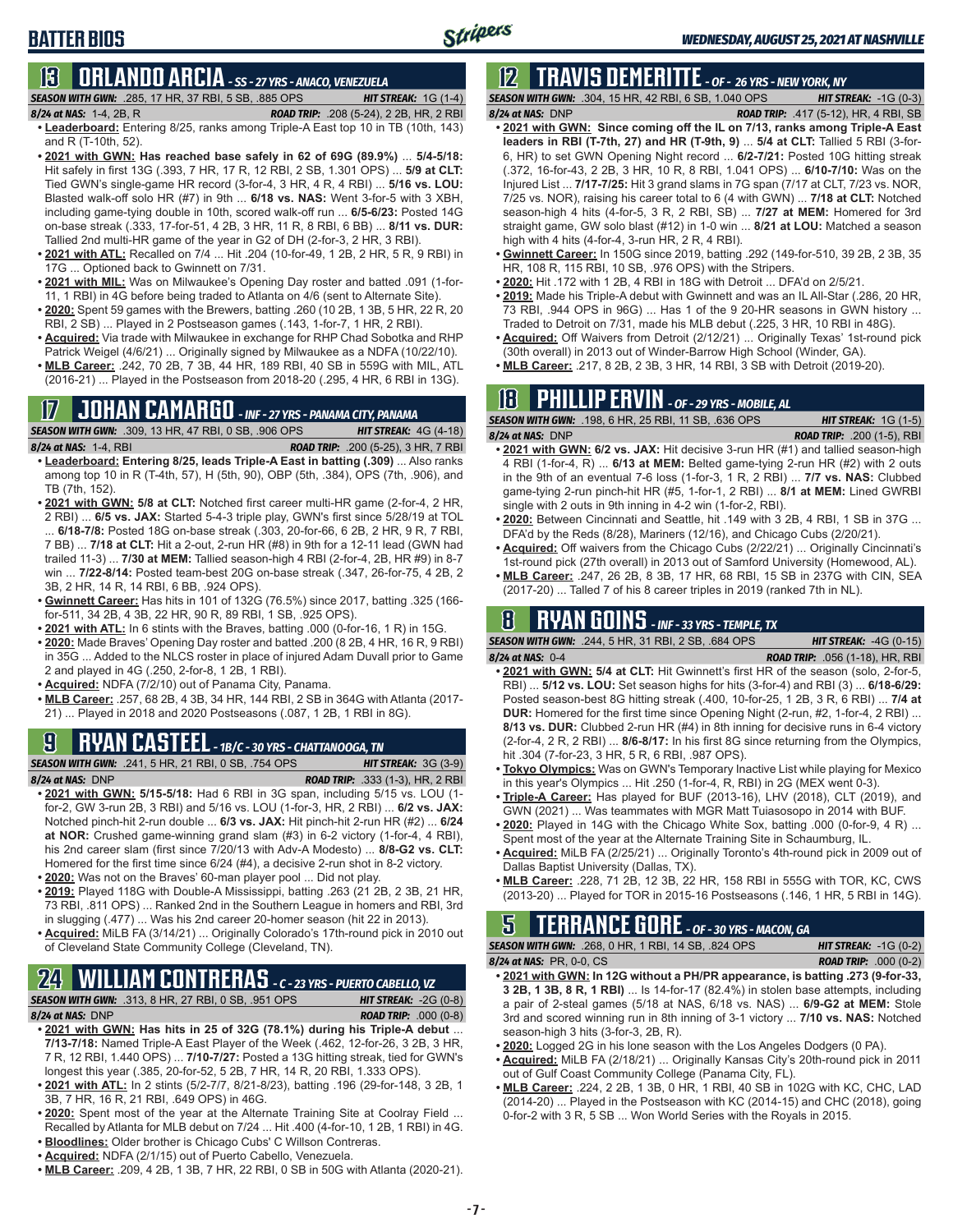## **13 ORLANDO ARCIA** *- SS - 27 YRS - ANACO, VENEZUELA*

*SEASON WITH GWN:*.285, 17 HR, 37 RBI, 5 SB, .885 OPS *HIT STREAK:* 1G (1-4)

**BATTER BIOS**

- *8/24 at NAS:*1-4, 2B, R *ROAD TRIP:* .208 (5-24), 2 2B, HR, 2 RBI **• Leaderboard:** Entering 8/25, ranks among Triple-A East top 10 in TB (10th, 143) and R (T-10th, 52).
- **• 2021 with GWN: Has reached base safely in 62 of 69G (89.9%)** ... **5/4-5/18:**  Hit safely in first 13G (.393, 7 HR, 17 R, 12 RBI, 2 SB, 1.301 OPS) ... **5/9 at CLT:** Tied GWN's single-game HR record (3-for-4, 3 HR, 4 R, 4 RBI) ... **5/16 vs. LOU:** Blasted walk-off solo HR (#7) in 9th ... **6/18 vs. NAS:** Went 3-for-5 with 3 XBH, including game-tying double in 10th, scored walk-off run ... **6/5-6/23:** Posted 14G on-base streak (.333, 17-for-51, 4 2B, 3 HR, 11 R, 8 RBI, 6 BB) ... **8/11 vs. DUR:** Tallied 2nd multi-HR game of the year in G2 of DH (2-for-3, 2 HR, 3 RBI).
- **• 2021 with ATL:** Recalled on 7/4 ... Hit .204 (10-for-49, 1 2B, 2 HR, 5 R, 9 RBI) in 17G ... Optioned back to Gwinnett on 7/31.
- **• 2021 with MIL:** Was on Milwaukee's Opening Day roster and batted .091 (1-for-11, 1 RBI) in 4G before being traded to Atlanta on 4/6 (sent to Alternate Site).
- **• 2020:** Spent 59 games with the Brewers, batting .260 (10 2B, 1 3B, 5 HR, 22 R, 20 RBI, 2 SB) ... Played in 2 Postseason games (.143, 1-for-7, 1 HR, 2 RBI).
- **• Acquired:** Via trade with Milwaukee in exchange for RHP Chad Sobotka and RHP Patrick Weigel (4/6/21) ... Originally signed by Milwaukee as a NDFA (10/22/10).
- **• MLB Career:** .242, 70 2B, 7 3B, 44 HR, 189 RBI, 40 SB in 559G with MIL, ATL (2016-21) ... Played in the Postseason from 2018-20 (.295, 4 HR, 6 RBI in 13G).

### **17 JOHAN CAMARGO** *- INF - 27 YRS - PANAMA CITY, PANAMA*

*SEASON WITH GWN:*.309, 13 HR, 47 RBI, 0 SB, .906 OPS *HIT STREAK:* 4G (4-18) *8/24 at NAS:* 1-4, RBI *ROAD TRIP:* .200 (5-25), 3 HR, 7 RBI

- **• Leaderboard: Entering 8/25, leads Triple-A East in batting (.309)** ... Also ranks among top 10 in R (T-4th, 57), H (5th, 90), OBP (5th, .384), OPS (7th, .906), and TB (7th, 152).
- **• 2021 with GWN: 5/8 at CLT:** Notched first career multi-HR game (2-for-4, 2 HR, 2 RBI) ... **6/5 vs. JAX:** Started 5-4-3 triple play, GWN's first since 5/28/19 at TOL ... **6/18-7/8:** Posted 18G on-base streak (.303, 20-for-66, 6 2B, 2 HR, 9 R, 7 RBI, 7 BB) ... **7/18 at CLT:** Hit a 2-out, 2-run HR (#8) in 9th for a 12-11 lead (GWN had trailed 11-3) ... **7/30 at MEM:** Tallied season-high 4 RBI (2-for-4, 2B, HR #9) in 8-7 win ... **7/22-8/14:** Posted team-best 20G on-base streak (.347, 26-for-75, 4 2B, 2 3B, 2 HR, 14 R, 14 RBI, 6 BB, .924 OPS).
- **• Gwinnett Career:** Has hits in 101 of 132G (76.5%) since 2017, batting .325 (166 for-511, 34 2B, 4 3B, 22 HR, 90 R, 89 RBI, 1 SB, .925 OPS).
- **• 2021 with ATL:** In 6 stints with the Braves, batting .000 (0-for-16, 1 R) in 15G.
- **• 2020:** Made Braves' Opening Day roster and batted .200 (8 2B, 4 HR, 16 R, 9 RBI) in 35G ... Added to the NLCS roster in place of injured Adam Duvall prior to Game 2 and played in 4G (.250, 2-for-8, 1 2B, 1 RBI).
- **• Acquired:** NDFA (7/2/10) out of Panama City, Panama.
- **• MLB Career:** .257, 68 2B, 4 3B, 34 HR, 144 RBI, 2 SB in 364G with Atlanta (2017- 21) ... Played in 2018 and 2020 Postseasons (.087, 1 2B, 1 RBI in 8G).

### **9 RYAN CASTEEL** *- 1B/C - 30 YRS - CHATTANOOGA, TN*

*SEASON WITH GWN:*.241, 5 HR, 21 RBI, 0 SB, .754 OPS *HIT STREAK:* 3G (3-9)

- *8/24 at NAS:*DNP *ROAD TRIP:* .333 (1-3), HR, 2 RBI **• 2021 with GWN: 5/15-5/18:** Had 6 RBI in 3G span, including 5/15 vs. LOU (1 for-2, GW 3-run 2B, 3 RBI) and 5/16 vs. LOU (1-for-3, HR, 2 RBI) ... **6/2 vs. JAX:** Notched pinch-hit 2-run double ... **6/3 vs. JAX:** Hit pinch-hit 2-run HR (#2) ... **6/24 at NOR:** Crushed game-winning grand slam (#3) in 6-2 victory (1-for-4, 4 RBI), his 2nd career slam (first since 7/20/13 with Adv-A Modesto) ... **8/8-G2 vs. CLT:** Homered for the first time since 6/24 (#4), a decisive 2-run shot in 8-2 victory.
- **• 2020:** Was not on the Braves' 60-man player pool ... Did not play.
- **• 2019:** Played 118G with Double-A Mississippi, batting .263 (21 2B, 2 3B, 21 HR, 73 RBI, .811 OPS) ... Ranked 2nd in the Southern League in homers and RBI, 3rd in slugging (.477) ... Was his 2nd career 20-homer season (hit 22 in 2013).
- **• Acquired:** MiLB FA (3/14/21) ... Originally Colorado's 17th-round pick in 2010 out of Cleveland State Community College (Cleveland, TN).

#### **24 WILLIAM CONTRERAS** *- C - 23 YRS - PUERTO CABELLO, VZ SEASON WITH GWN:*.313, 8 HR, 27 RBI, 0 SB, .951 OPS *HIT STREAK:* -2G (0-8)

*8/24 at NAS:* DNP *ROAD TRIP:* .000 (0-8)

- **• 2021 with GWN: Has hits in 25 of 32G (78.1%) during his Triple-A debut** ... **7/13-7/18:** Named Triple-A East Player of the Week (.462, 12-for-26, 3 2B, 3 HR, 7 R, 12 RBI, 1.440 OPS) ... **7/10-7/27:** Posted a 13G hitting streak, tied for GWN's longest this year (.385, 20-for-52, 5 2B, 7 HR, 14 R, 20 RBI, 1.333 OPS).
- **• 2021 with ATL:** In 2 stints (5/2-7/7, 8/21-8/23), batting .196 (29-for-148, 3 2B, 1 3B, 7 HR, 16 R, 21 RBI, .649 OPS) in 46G.
- **• 2020:** Spent most of the year at the Alternate Training Site at Coolray Field ... Recalled by Atlanta for MLB debut on 7/24 ... Hit .400 (4-for-10, 1 2B, 1 RBI) in 4G.
- **• Bloodlines:** Older brother is Chicago Cubs' C Willson Contreras.
- **• Acquired:** NDFA (2/1/15) out of Puerto Cabello, Venezuela.
- **• MLB Career:** .209, 4 2B, 1 3B, 7 HR, 22 RBI, 0 SB in 50G with Atlanta (2020-21).

## **12 TRAVIS DEMERITTE** *- OF - 26 YRS - NEW YORK, NY*

*SEASON WITH GWN:*.304, 15 HR, 42 RBI, 6 SB, 1.040 OPS *HIT STREAK:* -1G (0-3) *8/24 at NAS:*DNP *ROAD TRIP:* .417 (5-12), HR, 4 RBI, SB

- **• 2021 with GWN: Since coming off the IL on 7/13, ranks among Triple-A East leaders in RBI (T-7th, 27) and HR (T-9th, 9)** ... **5/4 at CLT:** Tallied 5 RBI (3-for-6, HR) to set GWN Opening Night record ... **6/2-7/21:** Posted 10G hitting streak (.372, 16-for-43, 2 2B, 3 HR, 10 R, 8 RBI, 1.041 OPS) ... **6/10-7/10:** Was on the Injured List ... **7/17-7/25:** Hit 3 grand slams in 7G span (7/17 at CLT, 7/23 vs. NOR, 7/25 vs. NOR), raising his career total to 6 (4 with GWN) ... **7/18 at CLT:** Notched season-high 4 hits (4-for-5, 3 R, 2 RBI, SB) ... **7/27 at MEM:** Homered for 3rd straight game, GW solo blast (#12) in 1-0 win ... **8/21 at LOU:** Matched a season high with 4 hits (4-for-4, 3-run HR, 2 R, 4 RBI).
- **• Gwinnett Career:** In 150G since 2019, batting .292 (149-for-510, 39 2B, 2 3B, 35 HR, 108 R, 115 RBI, 10 SB, .976 OPS) with the Stripers.
- **• 2020:** Hit .172 with 1 2B, 4 RBI in 18G with Detroit ... DFA'd on 2/5/21.
- **• 2019:** Made his Triple-A debut with Gwinnett and was an IL All-Star (.286, 20 HR, 73 RBI, .944 OPS in 96G) ... Has 1 of the 9 20-HR seasons in GWN history ... Traded to Detroit on 7/31, made his MLB debut (.225, 3 HR, 10 RBI in 48G).
- **• Acquired:** Off Waivers from Detroit (2/12/21) ... Originally Texas' 1st-round pick (30th overall) in 2013 out of Winder-Barrow High School (Winder, GA).
- **• MLB Career:** .217, 8 2B, 2 3B, 3 HR, 14 RBI, 3 SB with Detroit (2019-20).

## **18 PHILLIP ERVIN** *- OF - 29 YRS - MOBILE, AL*

*SEASON WITH GWN:*.198, 6 HR, 25 RBI, 11 SB, .636 OPS *HIT STREAK:* 1G (1-5) *8/24 at NAS:*DNP *ROAD TRIP:* .200 (1-5), RBI

- **• 2021 with GWN: 6/2 vs. JAX:** Hit decisive 3-run HR (#1) and tallied season-high 4 RBI (1-for-4, R) ... **6/13 at MEM:** Belted game-tying 2-run HR (#2) with 2 outs in the 9th of an eventual 7-6 loss (1-for-3, 1 R, 2 RBI) ... **7/7 vs. NAS:** Clubbed game-tying 2-run pinch-hit HR (#5, 1-for-1, 2 RBI) ... **8/1 at MEM:** Lined GWRBI single with 2 outs in 9th inning in 4-2 win (1-for-2, RBI).
- **• 2020:** Between Cincinnati and Seattle, hit .149 with 3 2B, 4 RBI, 1 SB in 37G ... DFA'd by the Reds (8/28), Mariners (12/16), and Chicago Cubs (2/20/21).
- **• Acquired:** Off waivers from the Chicago Cubs (2/22/21) ... Originally Cincinnati's 1st-round pick (27th overall) in 2013 out of Samford University (Homewood, AL).
- **• MLB Career:** .247, 26 2B, 8 3B, 17 HR, 68 RBI, 15 SB in 237G with CIN, SEA (2017-20) ... Talled 7 of his 8 career triples in 2019 (ranked 7th in NL).

### **8 RYAN GOINS** *- INF - 33 YRS - TEMPLE, TX*

*SEASON WITH GWN:*.244, 5 HR, 31 RBI, 2 SB, .684 OPS *HIT STREAK:* -4G (0-15)

- *8/24 at NAS:*0-4 *ROAD TRIP:* .056 (1-18), HR, RBI **• 2021 with GWN: 5/4 at CLT:** Hit Gwinnett's first HR of the season (solo, 2-for-5, RBI) ... **5/12 vs. LOU:** Set season highs for hits (3-for-4) and RBI (3) ... **6/18-6/29:** Posted season-best 8G hitting streak (.400, 10-for-25, 1 2B, 3 R, 6 RBI) ... **7/4 at DUR:** Homered for the first time since Opening Night (2-run, #2, 1-for-4, 2 RBI) ... **8/13 vs. DUR:** Clubbed 2-run HR (#4) in 8th inning for decisive runs in 6-4 victory (2-for-4, 2 R, 2 RBI) ... **8/6-8/17:** In his first 8G since returning from the Olympics, hit .304 (7-for-23, 3 HR, 5 R, 6 RBI, .987 OPS).
- **• Tokyo Olympics:** Was on GWN's Temporary Inactive List while playing for Mexico in this year's Olympics ... Hit .250 (1-for-4, R, RBI) in 2G (MEX went 0-3).
- **• Triple-A Career:** Has played for BUF (2013-16), LHV (2018), CLT (2019), and GWN (2021) ... Was teammates with MGR Matt Tuiasosopo in 2014 with BUF.
- **• 2020:** Played in 14G with the Chicago White Sox, batting .000 (0-for-9, 4 R) ... Spent most of the year at the Alternate Training Site in Schaumburg, IL.
- **• Acquired:** MiLB FA (2/25/21) ... Originally Toronto's 4th-round pick in 2009 out of Dallas Baptist University (Dallas, TX).
- **• MLB Career:** .228, 71 2B, 12 3B, 22 HR, 158 RBI in 555G with TOR, KC, CWS (2013-20) ... Played for TOR in 2015-16 Postseasons (.146, 1 HR, 5 RBI in 14G).

# **5 TERRANCE GORE** *- OF - 30 YRS - MACON, GA*

| <b>SEASON WITH GWN:</b> .268. 0 HR. 1 RBI. 14 SB. .824 OPS                                                                            | <b>HIT STREAK:</b> $-1G(0-2)$ |
|---------------------------------------------------------------------------------------------------------------------------------------|-------------------------------|
| <b>8/24 at NAS: PR, 0-0, CS</b>                                                                                                       | <b>ROAD TRIP:</b> $.000(0-2)$ |
| $\sim$ 0004 $\sim$ 44 $\sim$ 400 $\sim$ 44 $\sim$ 0.14 $\sim$ 0.15 $\sim$ 0.00 $\sim$ 0.00 $\sim$ 0.00 $\sim$ 0.00 $\sim$ 0.00 $\sim$ |                               |

- **• 2021 with GWN: In 12G without a PH/PR appearance, is batting .273 (9-for-33, 3 2B, 1 3B, 8 R, 1 RBI)** ... Is 14-for-17 (82.4%) in stolen base attempts, including a pair of 2-steal games (5/18 at NAS, 6/18 vs. NAS) ... **6/9-G2 at MEM:** Stole 3rd and scored winning run in 8th inning of 3-1 victory ... **7/10 vs. NAS:** Notched season-high 3 hits (3-for-3, 2B, R).
- **• 2020:** Logged 2G in his lone season with the Los Angeles Dodgers (0 PA).
- **• Acquired:** MiLB FA (2/18/21) ... Originally Kansas City's 20th-round pick in 2011 out of Gulf Coast Community College (Panama City, FL).
- **• MLB Career:** .224, 2 2B, 1 3B, 0 HR, 1 RBI, 40 SB in 102G with KC, CHC, LAD (2014-20) ... Played in the Postseason with KC (2014-15) and CHC (2018), going 0-for-2 with 3 R, 5 SB ... Won World Series with the Royals in 2015.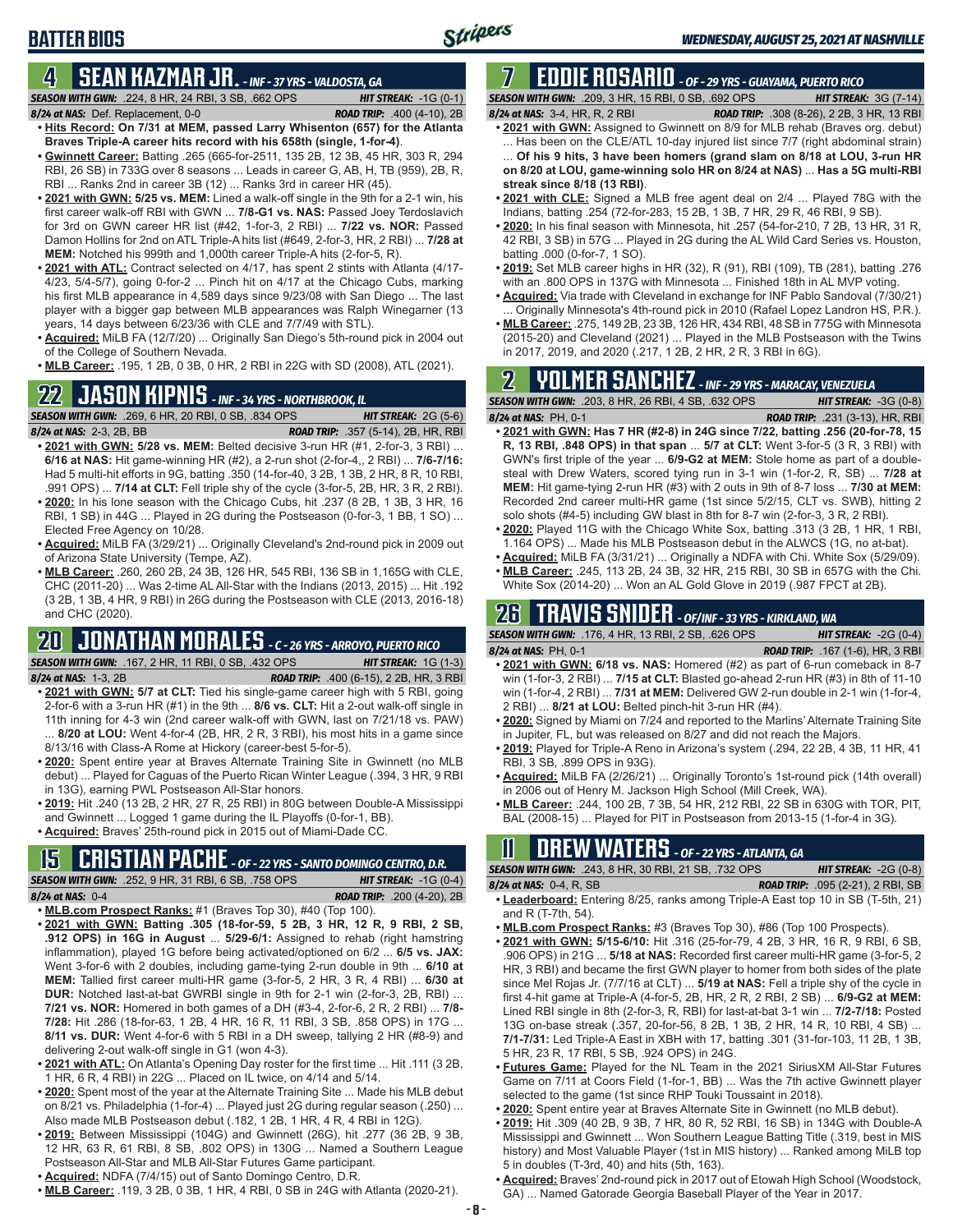## **4 SEAN KAZMAR JR.** *- INF - 37 YRS - VALDOSTA, GA*

*SEASON WITH GWN:*.224, 8 HR, 24 RBI, 3 SB, .662 OPS *HIT STREAK:* -1G (0-1) *8/24 at NAS:*Def. Replacement, 0-0 *ROAD TRIP:* .400 (4-10), 2B

**BATTER BIOS**

- **• Hits Record: On 7/31 at MEM, passed Larry Whisenton (657) for the Atlanta Braves Triple-A career hits record with his 658th (single, 1-for-4)**. **• Gwinnett Career:** Batting .265 (665-for-2511, 135 2B, 12 3B, 45 HR, 303 R, 294
- RBI, 26 SB) in 733G over 8 seasons ... Leads in career G, AB, H, TB (959), 2B, R, RBI ... Ranks 2nd in career 3B (12) ... Ranks 3rd in career HR (45).
- **• 2021 with GWN: 5/25 vs. MEM:** Lined a walk-off single in the 9th for a 2-1 win, his first career walk-off RBI with GWN ... **7/8-G1 vs. NAS:** Passed Joey Terdoslavich for 3rd on GWN career HR list (#42, 1-for-3, 2 RBI) ... **7/22 vs. NOR:** Passed Damon Hollins for 2nd on ATL Triple-A hits list (#649, 2-for-3, HR, 2 RBI) ... **7/28 at MEM:** Notched his 999th and 1,000th career Triple-A hits (2-for-5, R).
- **• 2021 with ATL:** Contract selected on 4/17, has spent 2 stints with Atlanta (4/17- 4/23, 5/4-5/7), going 0-for-2 ... Pinch hit on 4/17 at the Chicago Cubs, marking his first MLB appearance in 4,589 days since 9/23/08 with San Diego ... The last player with a bigger gap between MLB appearances was Ralph Winegarner (13 years, 14 days between 6/23/36 with CLE and 7/7/49 with STL).
- **• Acquired:** MiLB FA (12/7/20) ... Originally San Diego's 5th-round pick in 2004 out of the College of Southern Nevada.
- **• MLB Career:** .195, 1 2B, 0 3B, 0 HR, 2 RBI in 22G with SD (2008), ATL (2021).

## **22 JASON KIPNIS** *- INF - 34 YRS - NORTHBROOK, IL*

*SEASON WITH GWN:*.269, 6 HR, 20 RBI, 0 SB, .834 OPS *HIT STREAK:* 2G (5-6)

- *8/24 at NAS:*2-3, 2B, BB *ROAD TRIP:* .357 (5-14), 2B, HR, RBI **• 2021 with GWN: 5/28 vs. MEM:** Belted decisive 3-run HR (#1, 2-for-3, 3 RBI) ... **6/16 at NAS:** Hit game-winning HR (#2), a 2-run shot (2-for-4,, 2 RBI) ... **7/6-7/16:** Had 5 multi-hit efforts in 9G, batting .350 (14-for-40, 3 2B, 1 3B, 2 HR, 8 R, 10 RBI, .991 OPS) ... **7/14 at CLT:** Fell triple shy of the cycle (3-for-5, 2B, HR, 3 R, 2 RBI).
- **• 2020:** In his lone season with the Chicago Cubs, hit .237 (8 2B, 1 3B, 3 HR, 16 RBI, 1 SB) in 44G ... Played in 2G during the Postseason (0-for-3, 1 BB, 1 SO) ... Elected Free Agency on 10/28.
- **• Acquired:** MiLB FA (3/29/21) ... Originally Cleveland's 2nd-round pick in 2009 out of Arizona State University (Tempe, AZ).
- **• MLB Career:** .260, 260 2B, 24 3B, 126 HR, 545 RBI, 136 SB in 1,165G with CLE, CHC (2011-20) ... Was 2-time AL All-Star with the Indians (2013, 2015) ... Hit .192 (3 2B, 1 3B, 4 HR, 9 RBI) in 26G during the Postseason with CLE (2013, 2016-18) and CHC (2020).

### **20 JONATHAN MORALES** *- C - 26 YRS - ARROYO, PUERTO RICO SEASON WITH GWN:*.167, 2 HR, 11 RBI, 0 SB, .432 OPS *HIT STREAK:* 1G (1-3)

- 
- *8/24 at NAS:*1-3, 2B *ROAD TRIP:* .400 (6-15), 2 2B, HR, 3 RBI **• 2021 with GWN: 5/7 at CLT:** Tied his single-game career high with 5 RBI, going 2-for-6 with a 3-run HR (#1) in the 9th ... **8/6 vs. CLT:** Hit a 2-out walk-off single in 11th inning for 4-3 win (2nd career walk-off with GWN, last on 7/21/18 vs. PAW) ... **8/20 at LOU:** Went 4-for-4 (2B, HR, 2 R, 3 RBI), his most hits in a game since 8/13/16 with Class-A Rome at Hickory (career-best 5-for-5).
- **• 2020:** Spent entire year at Braves Alternate Training Site in Gwinnett (no MLB debut) ... Played for Caguas of the Puerto Rican Winter League (.394, 3 HR, 9 RBI in 13G), earning PWL Postseason All-Star honors.
- **• 2019:** Hit .240 (13 2B, 2 HR, 27 R, 25 RBI) in 80G between Double-A Mississippi and Gwinnett ... Logged 1 game during the IL Playoffs (0-for-1, BB).

**• 2021 with GWN: Batting .305 (18-for-59, 5 2B, 3 HR, 12 R, 9 RBI, 2 SB, .912 OPS) in 16G in August** ... **5/29-6/1:** Assigned to rehab (right hamstring inflammation), played 1G before being activated/optioned on 6/2 ... **6/5 vs. JAX:** Went 3-for-6 with 2 doubles, including game-tying 2-run double in 9th ... **6/10 at MEM:** Tallied first career multi-HR game (3-for-5, 2 HR, 3 R, 4 RBI) ... **6/30 at DUR:** Notched last-at-bat GWRBI single in 9th for 2-1 win (2-for-3, 2B, RBI) ... **7/21 vs. NOR:** Homered in both games of a DH (#3-4, 2-for-6, 2 R, 2 RBI) ... **7/8- 7/28:** Hit .286 (18-for-63, 1 2B, 4 HR, 16 R, 11 RBI, 3 SB, .858 OPS) in 17G ... **8/11 vs. DUR:** Went 4-for-6 with 5 RBI in a DH sweep, tallying 2 HR (#8-9) and

**• 2021 with ATL:** On Atlanta's Opening Day roster for the first time ... Hit .111 (3 2B,

**• 2020:** Spent most of the year at the Alternate Training Site ... Made his MLB debut on 8/21 vs. Philadelphia (1-for-4) ... Played just 2G during regular season (.250) ... Also made MLB Postseason debut (.182, 1 2B, 1 HR, 4 R, 4 RBI in 12G). **• 2019:** Between Mississippi (104G) and Gwinnett (26G), hit .277 (36 2B, 9 3B, 12 HR, 63 R, 61 RBI, 8 SB, .802 OPS) in 130G ... Named a Southern League

**• Acquired:** Braves' 25th-round pick in 2015 out of Miami-Dade CC.

## **15 CRISTIAN PACHE** *- OF - 22 YRS - SANTO DOMINGO CENTRO, D.R.*

**• MLB.com Prospect Ranks:** #1 (Braves Top 30), #40 (Top 100).

*SEASON WITH GWN:*.252, 9 HR, 31 RBI, 6 SB, .758 OPS *HIT STREAK:* -1G (0-4) *8/24 at NAS:* 0-4 *ROAD TRIP:* .200 (4-20), 2B

delivering 2-out walk-off single in G1 (won 4-3).

**7 EDDIE ROSARIO** *- OF - 29 YRS - GUAYAMA, PUERTO RICO SEASON WITH GWN:*.209, 3 HR, 15 RBI, 0 SB, .692 OPS *HIT STREAK:* 3G (7-14)

- *8/24 at NAS:* 3-4, HR, R, 2 RBI *ROAD TRIP:* .308 (8-26), 2 2B, 3 HR, 13 RBI **• 2021 with GWN:** Assigned to Gwinnett on 8/9 for MLB rehab (Braves org. debut) ... Has been on the CLE/ATL 10-day injured list since 7/7 (right abdominal strain)
- ... **Of his 9 hits, 3 have been homers (grand slam on 8/18 at LOU, 3-run HR on 8/20 at LOU, game-winning solo HR on 8/24 at NAS)** ... **Has a 5G multi-RBI streak since 8/18 (13 RBI)**.
- **• 2021 with CLE:** Signed a MLB free agent deal on 2/4 ... Played 78G with the Indians, batting .254 (72-for-283, 15 2B, 1 3B, 7 HR, 29 R, 46 RBI, 9 SB).
- **• 2020:** In his final season with Minnesota, hit .257 (54-for-210, 7 2B, 13 HR, 31 R, 42 RBI, 3 SB) in 57G ... Played in 2G during the AL Wild Card Series vs. Houston, batting .000 (0-for-7, 1 SO).
- **• 2019:** Set MLB career highs in HR (32), R (91), RBI (109), TB (281), batting .276 with an .800 OPS in 137G with Minnesota ... Finished 18th in AL MVP voting.
- **• Acquired:** Via trade with Cleveland in exchange for INF Pablo Sandoval (7/30/21) Originally Minnesota's 4th-round pick in 2010 (Rafael Lopez Landron HS, P.R.).
- **• MLB Career:** .275, 149 2B, 23 3B, 126 HR, 434 RBI, 48 SB in 775G with Minnesota (2015-20) and Cleveland (2021) ... Played in the MLB Postseason with the Twins in 2017, 2019, and 2020 (.217, 1 2B, 2 HR, 2 R, 3 RBI in 6G).

## **2 YOLMER SANCHEZ** *- INF - 29 YRS - MARACAY, VENEZUELA*

*SEASON WITH GWN:*.203, 8 HR, 26 RBI, 4 SB, .632 OPS *HIT STREAK:* -3G (0-8) *8/24 at NAS:*PH, 0-1 *ROAD TRIP:* .231 (3-13), HR, RBI

- **• 2021 with GWN: Has 7 HR (#2-8) in 24G since 7/22, batting .256 (20-for-78, 15 R, 13 RBI, .848 OPS) in that span** ... **5/7 at CLT:** Went 3-for-5 (3 R, 3 RBI) with GWN's first triple of the year ... **6/9-G2 at MEM:** Stole home as part of a doublesteal with Drew Waters, scored tying run in 3-1 win (1-for-2, R, SB) ... **7/28 at MEM:** Hit game-tying 2-run HR (#3) with 2 outs in 9th of 8-7 loss ... **7/30 at MEM:** Recorded 2nd career multi-HR game (1st since 5/2/15, CLT vs. SWB), hitting 2 solo shots (#4-5) including GW blast in 8th for 8-7 win (2-for-3, 3 R, 2 RBI).
- **• 2020:** Played 11G with the Chicago White Sox, batting .313 (3 2B, 1 HR, 1 RBI, 1.164 OPS) ... Made his MLB Postseason debut in the ALWCS (1G, no at-bat).
- **• Acquired:** MiLB FA (3/31/21) ... Originally a NDFA with Chi. White Sox (5/29/09). **• MLB Career:** .245, 113 2B, 24 3B, 32 HR, 215 RBI, 30 SB in 657G with the Chi.
- White Sox (2014-20) ... Won an AL Gold Glove in 2019 (.987 FPCT at 2B).

## **26 TRAVIS SNIDER** *- OF/INF - 33 YRS - KIRKLAND, WA*

*SEASON WITH GWN:*.176, 4 HR, 13 RBI, 2 SB, .626 OPS *HIT STREAK:* -2G (0-4)

- *8/24 at NAS:* PH, 0-1 *ROAD TRIP:* .167 (1-6), HR, 3 RBI **• 2021 with GWN: 6/18 vs. NAS:** Homered (#2) as part of 6-run comeback in 8-7 win (1-for-3, 2 RBI) ... **7/15 at CLT:** Blasted go-ahead 2-run HR (#3) in 8th of 11-10 win (1-for-4, 2 RBI) ... **7/31 at MEM:** Delivered GW 2-run double in 2-1 win (1-for-4, 2 RBI) ... **8/21 at LOU:** Belted pinch-hit 3-run HR (#4).
- **• 2020:** Signed by Miami on 7/24 and reported to the Marlins' Alternate Training Site in Jupiter, FL, but was released on 8/27 and did not reach the Majors.
- **• 2019:** Played for Triple-A Reno in Arizona's system (.294, 22 2B, 4 3B, 11 HR, 41 RBI, 3 SB, .899 OPS in 93G).
- **• Acquired:** MiLB FA (2/26/21) ... Originally Toronto's 1st-round pick (14th overall) in 2006 out of Henry M. Jackson High School (Mill Creek, WA).
- **• MLB Career:** .244, 100 2B, 7 3B, 54 HR, 212 RBI, 22 SB in 630G with TOR, PIT, BAL (2008-15) ... Played for PIT in Postseason from 2013-15 (1-for-4 in 3G).

## **11 Drew WATERS** *- OF - 22 YRS - ATLANTA, GA*

*SEASON WITH GWN:*.243, 8 HR, 30 RBI, 21 SB, .732 OPS *HIT STREAK:* -2G (0-8) *8/24 at NAS:*0-4, R, SB *ROAD TRIP:* .095 (2-21), 2 RBI, SB

- **• Leaderboard:** Entering 8/25, ranks among Triple-A East top 10 in SB (T-5th, 21) and R  $(T-7th, 54)$ .
- **• MLB.com Prospect Ranks:** #3 (Braves Top 30), #86 (Top 100 Prospects).
- **• 2021 with GWN: 5/15-6/10:** Hit .316 (25-for-79, 4 2B, 3 HR, 16 R, 9 RBI, 6 SB, .906 OPS) in 21G ... **5/18 at NAS:** Recorded first career multi-HR game (3-for-5, 2 HR, 3 RBI) and became the first GWN player to homer from both sides of the plate since Mel Rojas Jr. (7/7/16 at CLT) ... **5/19 at NAS:** Fell a triple shy of the cycle in first 4-hit game at Triple-A (4-for-5, 2B, HR, 2 R, 2 RBI, 2 SB) ... **6/9-G2 at MEM:** Lined RBI single in 8th (2-for-3, R, RBI) for last-at-bat 3-1 win ... **7/2-7/18:** Posted 13G on-base streak (.357, 20-for-56, 8 2B, 1 3B, 2 HR, 14 R, 10 RBI, 4 SB) ... **7/1-7/31:** Led Triple-A East in XBH with 17, batting .301 (31-for-103, 11 2B, 1 3B, 5 HR, 23 R, 17 RBI, 5 SB, .924 OPS) in 24G.
- **• Futures Game:** Played for the NL Team in the 2021 SiriusXM All-Star Futures Game on 7/11 at Coors Field (1-for-1, BB) ... Was the 7th active Gwinnett player selected to the game (1st since RHP Touki Toussaint in 2018).
- **• 2020:** Spent entire year at Braves Alternate Site in Gwinnett (no MLB debut).

GA) ... Named Gatorade Georgia Baseball Player of the Year in 2017.

- **• 2019:** Hit .309 (40 2B, 9 3B, 7 HR, 80 R, 52 RBI, 16 SB) in 134G with Double-A Mississippi and Gwinnett ... Won Southern League Batting Title (.319, best in MIS history) and Most Valuable Player (1st in MIS history) ... Ranked among MiLB top 5 in doubles (T-3rd, 40) and hits (5th, 163). **• Acquired:** Braves' 2nd-round pick in 2017 out of Etowah High School (Woodstock,
- Postseason All-Star and MLB All-Star Futures Game participant. **• Acquired:** NDFA (7/4/15) out of Santo Domingo Centro, D.R.

1 HR, 6 R, 4 RBI) in 22G ... Placed on IL twice, on 4/14 and 5/14.

**• MLB Career:** .119, 3 2B, 0 3B, 1 HR, 4 RBI, 0 SB in 24G with Atlanta (2020-21).

- 
- 
- 
-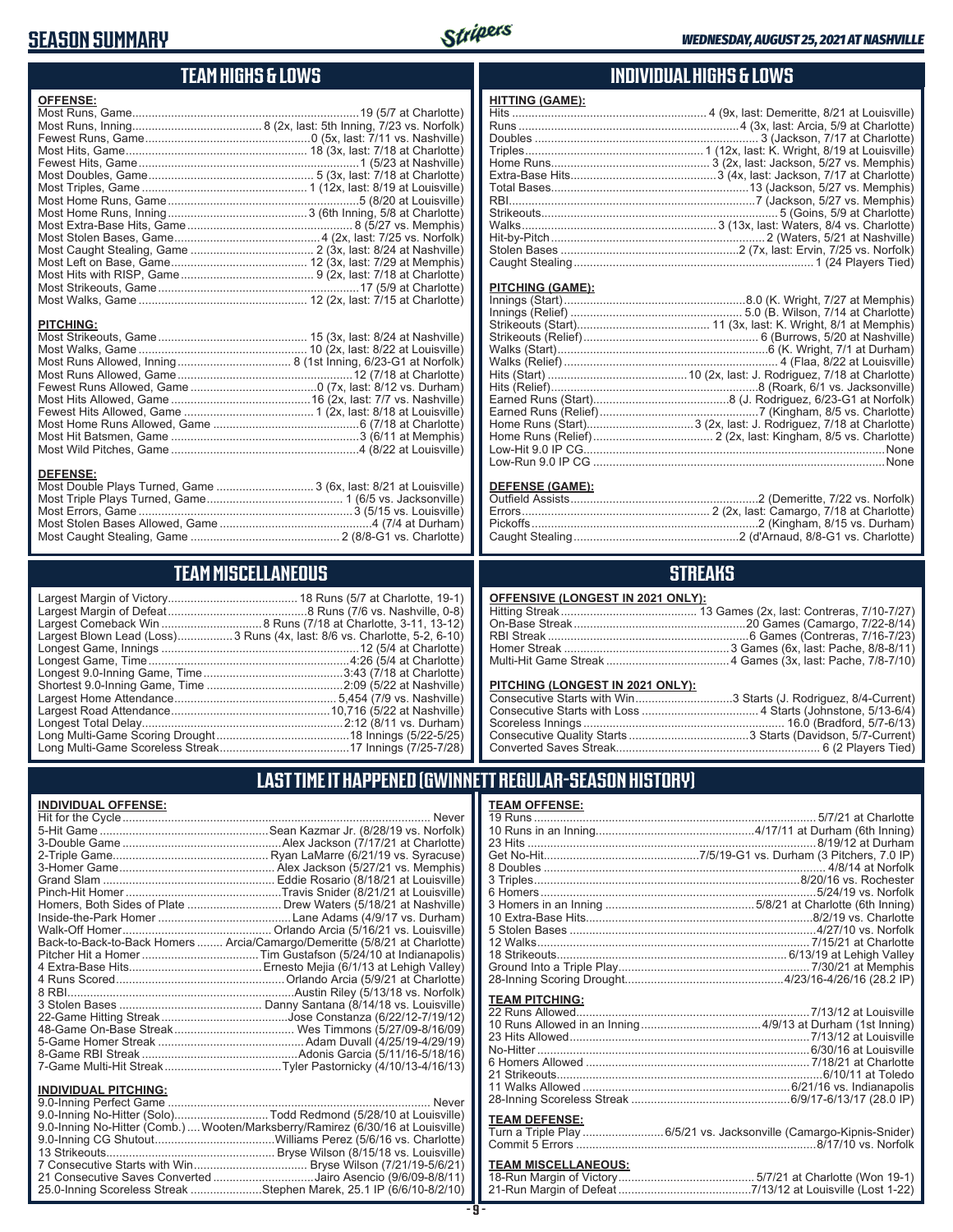### **SEASON SUMMARY**

**INDIVIDUAL OFFENSE:**



### **TEAM HIGHS & LOWS**

| <b>OFFENSE:</b>                                                  |  |
|------------------------------------------------------------------|--|
|                                                                  |  |
|                                                                  |  |
|                                                                  |  |
|                                                                  |  |
|                                                                  |  |
|                                                                  |  |
|                                                                  |  |
|                                                                  |  |
|                                                                  |  |
|                                                                  |  |
|                                                                  |  |
|                                                                  |  |
|                                                                  |  |
|                                                                  |  |
|                                                                  |  |
|                                                                  |  |
|                                                                  |  |
|                                                                  |  |
| <b>PITCHING:</b>                                                 |  |
|                                                                  |  |
|                                                                  |  |
|                                                                  |  |
|                                                                  |  |
|                                                                  |  |
|                                                                  |  |
|                                                                  |  |
|                                                                  |  |
|                                                                  |  |
|                                                                  |  |
| <b>DEFENSE:</b>                                                  |  |
| Most Double Plays Turned, Game  3 (6x, last: 8/21 at Louisville) |  |
|                                                                  |  |
|                                                                  |  |

### **TEAM MISCELLANEOUS**

Most Caught Stealing, Game .............................................. 2 (8/8-G1 vs. Charlotte)

| Largest Blown Lead (Loss) 3 Runs (4x, last: 8/6 vs. Charlotte, 5-2, 6-10) |
|---------------------------------------------------------------------------|
|                                                                           |
|                                                                           |
|                                                                           |
|                                                                           |
|                                                                           |
|                                                                           |
|                                                                           |
|                                                                           |
|                                                                           |

### **INDIVIDUAL HIGHS & LOWS**

#### **PITCHING (GAME):**

#### **DEFENSE (GAME):**

### **STREAKS**

#### **OFFENSIVE (LONGEST IN 2021 ONLY):**

#### **PITCHING (LONGEST IN 2021 ONLY):**

| Consecutive Starts with Win3 Starts (J. Rodriguez, 8/4-Current) |
|-----------------------------------------------------------------|
|                                                                 |
|                                                                 |
|                                                                 |
|                                                                 |

19 Runs ....................................................................................... 5/7/21 at Charlotte 10 Runs in an Inning.................................................4/17/11 at Durham (6th Inning) 23 Hits .........................................................................................8/19/12 at Durham Get No-Hit................................................7/5/19-G1 vs. Durham (3 Pitchers, 7.0 IP) 8 Doubles ....................................................................................... 4/8/14 at Norfolk 3 Triples..................................................................................8/20/16 vs. Rochester 6 Homers.....................................................................................5/24/19 vs. Norfolk 3 Homers in an Inning ..............................................5/8/21 at Charlotte (6th Inning) 10 Extra-Base Hits......................................................................8/2/19 vs. Charlotte 5 Stolen Bases ............................................................................4/27/10 vs. Norfolk 12 Walks.................................................................................... 7/15/21 at Charlotte 18 Strikeouts....................................................................... 6/13/19 at Lehigh Valley Ground Into a Triple Play........................................................... 7/30/21 at Memphis 28-Inning Scoring Drought.................................................4/23/16-4/26/16 (28.2 IP)

### **LAST TIME IT HAPPENED (GWINNETT REGULAR-SEASON HISTORY)**

**TEAM OFFENSE:**

|                             | Homers, Both Sides of Plate  Drew Waters (5/18/21 at Nashville)            |
|-----------------------------|----------------------------------------------------------------------------|
|                             |                                                                            |
|                             |                                                                            |
|                             | Back-to-Back-to-Back Homers  Arcia/Camargo/Demeritte (5/8/21 at Charlotte) |
|                             |                                                                            |
|                             |                                                                            |
|                             |                                                                            |
|                             |                                                                            |
|                             |                                                                            |
|                             |                                                                            |
|                             |                                                                            |
|                             |                                                                            |
|                             |                                                                            |
|                             |                                                                            |
| <b>INDIVIDUAL PITCHING:</b> |                                                                            |
| 0.0 Inning Dorfoot Camp     | Nover                                                                      |

| 9.0-Inning No-Hitter (Solo)Todd Redmond (5/28/10 at Louisville)                 |  |
|---------------------------------------------------------------------------------|--|
| 9.0-Inning No-Hitter (Comb.)  Wooten/Marksberry/Ramirez (6/30/16 at Louisville) |  |
|                                                                                 |  |
|                                                                                 |  |
|                                                                                 |  |
| 21 Consecutive Saves Converted Jairo Asencio (9/6/09-8/8/11)                    |  |
| 25.0-Inning Scoreless Streak Stephen Marek, 25.1 IP (6/6/10-8/2/10)             |  |
|                                                                                 |  |

## **TEAM PITCHING:**

| 23 Hits Allowed………………………………………………………………7/13/12 at Louisville   |  |
|----------------------------------------------------------------|--|
| No-Hitter …………………………………………………………………………………6/30/16 at Louisville |  |
|                                                                |  |
|                                                                |  |
|                                                                |  |
|                                                                |  |
|                                                                |  |

#### **TEAM DEFENSE:**

| . |                                                                    |
|---|--------------------------------------------------------------------|
|   | Turn a Triple Play 6/5/21 vs. Jacksonville (Camargo-Kipnis-Snider) |
|   |                                                                    |

### **TEAM MISCELLANEOUS:**<br>18-Run Margin of Victory....

| 21-Run Margin of Defeat…………………………………7/13/12 at Louisville (Lost 1-22) |  |  |
|-----------------------------------------------------------------------|--|--|